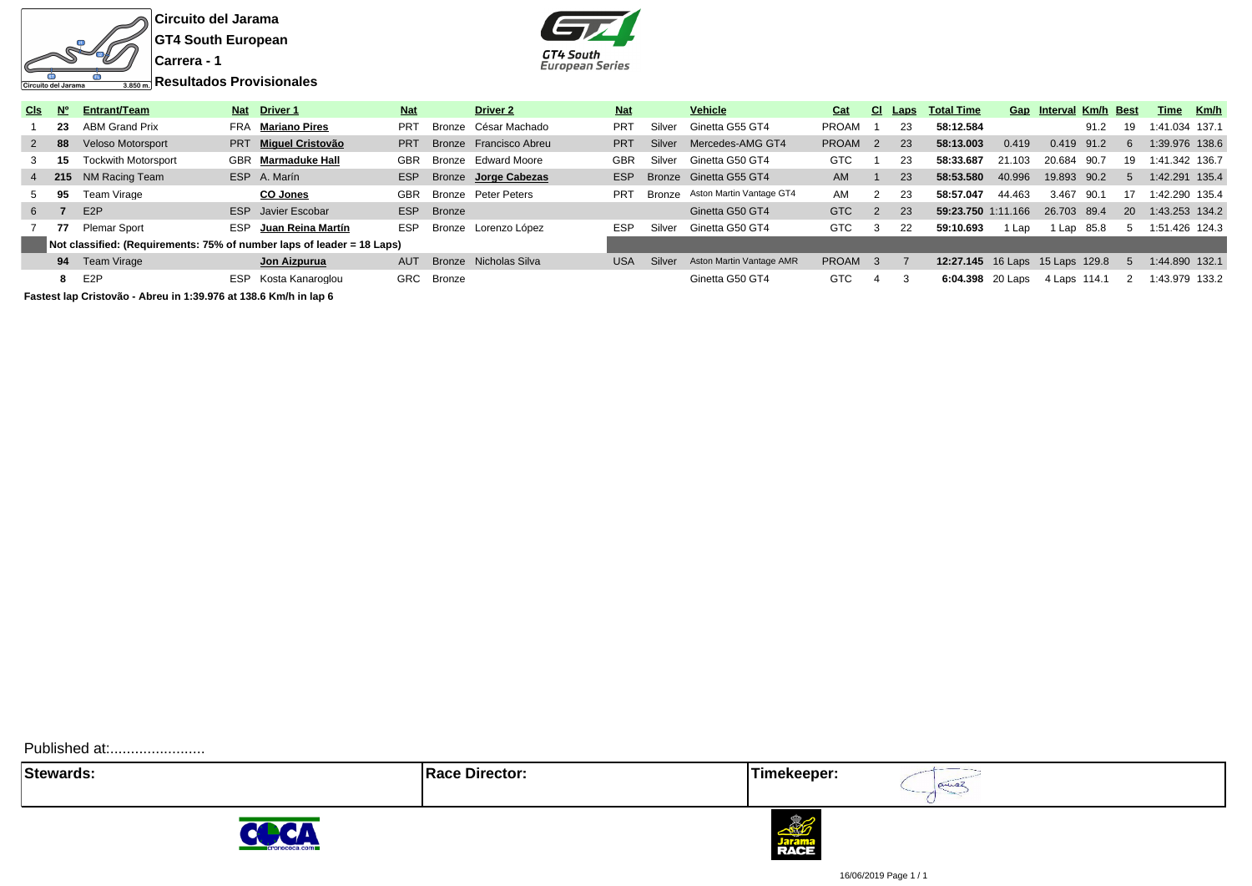

**GT4 South European**



| CIs:  | N°   | Entrant/Team                                                           |            | Nat Driver 1              | <b>Nat</b> |            | Driver 2               | <b>Nat</b> |        | <b>Vehicle</b>                  | Cat                | CI. | Laps | <b>Total Time</b>                      |        | Gap Interval Km/h Best |      |           | Time Km/h      |  |
|-------|------|------------------------------------------------------------------------|------------|---------------------------|------------|------------|------------------------|------------|--------|---------------------------------|--------------------|-----|------|----------------------------------------|--------|------------------------|------|-----------|----------------|--|
|       | -23  | <b>ABM Grand Prix</b>                                                  |            | FRA Mariano Pires         | <b>PRT</b> |            | Bronze César Machado   | PRT        | Silver | Ginetta G55 GT4                 | <b>PROAM</b>       |     | 23   | 58:12.584                              |        |                        | 91.2 | 19        | 1:41.034 137.1 |  |
|       | 2 88 | <b>Veloso Motorsport</b>                                               |            | PRT Miguel Cristovão      | <b>PRT</b> |            | Bronze Francisco Abreu | <b>PRT</b> |        | Silver Mercedes-AMG GT4         | PROAM <sub>2</sub> |     | 23   | 58:13.003                              | 0.419  | 0.419 91.2             |      | 6.        | 1:39.976 138.6 |  |
|       | - 15 | <b>Tockwith Motorsport</b>                                             |            | <b>GBR</b> Marmaduke Hall | GBR        |            | Bronze Edward Moore    | <b>GBR</b> | Silver | Ginetta G50 GT4                 | <b>GTC</b>         |     | 23   | 58:33.687                              | 21.103 | 20.684                 | 90.7 | 19        | 1:41.342 136.7 |  |
|       |      | 4 215 NM Racing Team                                                   | <b>ESP</b> | A. Marín                  | ESP        |            | Bronze Jorge Cabezas   | ESP        |        | Bronze Ginetta G55 GT4          | AM                 |     | 23   | 58:53.580                              | 40.996 | 19.893 90.2            |      |           | 1:42.291 135.4 |  |
|       | 95   | Team Virage                                                            |            | <b>CO Jones</b>           | GBR        |            | Bronze Peter Peters    | <b>PRT</b> |        | Bronze Aston Martin Vantage GT4 | AM                 | 2   | 23   | 58:57.047                              | 44.463 | 3.467                  | 90.1 | 17        | 1:42.290 135.4 |  |
| $6 -$ |      | E <sub>2</sub> P                                                       |            | <b>ESP</b> Javier Escobar |            | ESP Bronze |                        |            |        | Ginetta G50 GT4                 | <b>GTC</b>         | 2   | 23   | 59:23.750 1:11.166                     |        | 26.703 89.4            |      | <b>20</b> | 1:43.253 134.2 |  |
|       |      | 77 Plemar Sport                                                        | <b>ESP</b> | Juan Reina Martín         | ESP        |            | Bronze Lorenzo López   | <b>ESP</b> | Silver | Ginetta G50 GT4                 | GTC                | 3   | 22   | 59:10.693                              | l Lap  | 1 Lap 85.8             |      |           | 1:51.426 124.3 |  |
|       |      | Not classified: (Requirements: 75% of number laps of leader = 18 Laps) |            |                           |            |            |                        |            |        |                                 |                    |     |      |                                        |        |                        |      |           |                |  |
|       |      | 94 Team Virage                                                         |            | Jon Aizpurua              | AUT        |            | Bronze Nicholas Silva  | <b>USA</b> | Silver | Aston Martin Vantage AMR        | PROAM <sub>3</sub> |     |      | <b>12:27.145</b> 16 Laps 15 Laps 129.8 |        |                        |      | . 5       | 1:44.890 132.1 |  |
|       |      | 8 E2P                                                                  | <b>ESP</b> | Kosta Kanaroglou          |            | GRC Bronze |                        |            |        | Ginetta G50 GT4                 | <b>GTC</b>         |     |      | <b>6:04.398</b> 20 Laps                |        | 4 Laps 114.1           |      |           | 1:43.979 133.2 |  |

**Fastest lap Cristovão - Abreu in 1:39.976 at 138.6 Km/h in lap 6**

Published at:........................

**Stewards:** Timekeeper:

COCA





16/06/2019 Page 1 / 1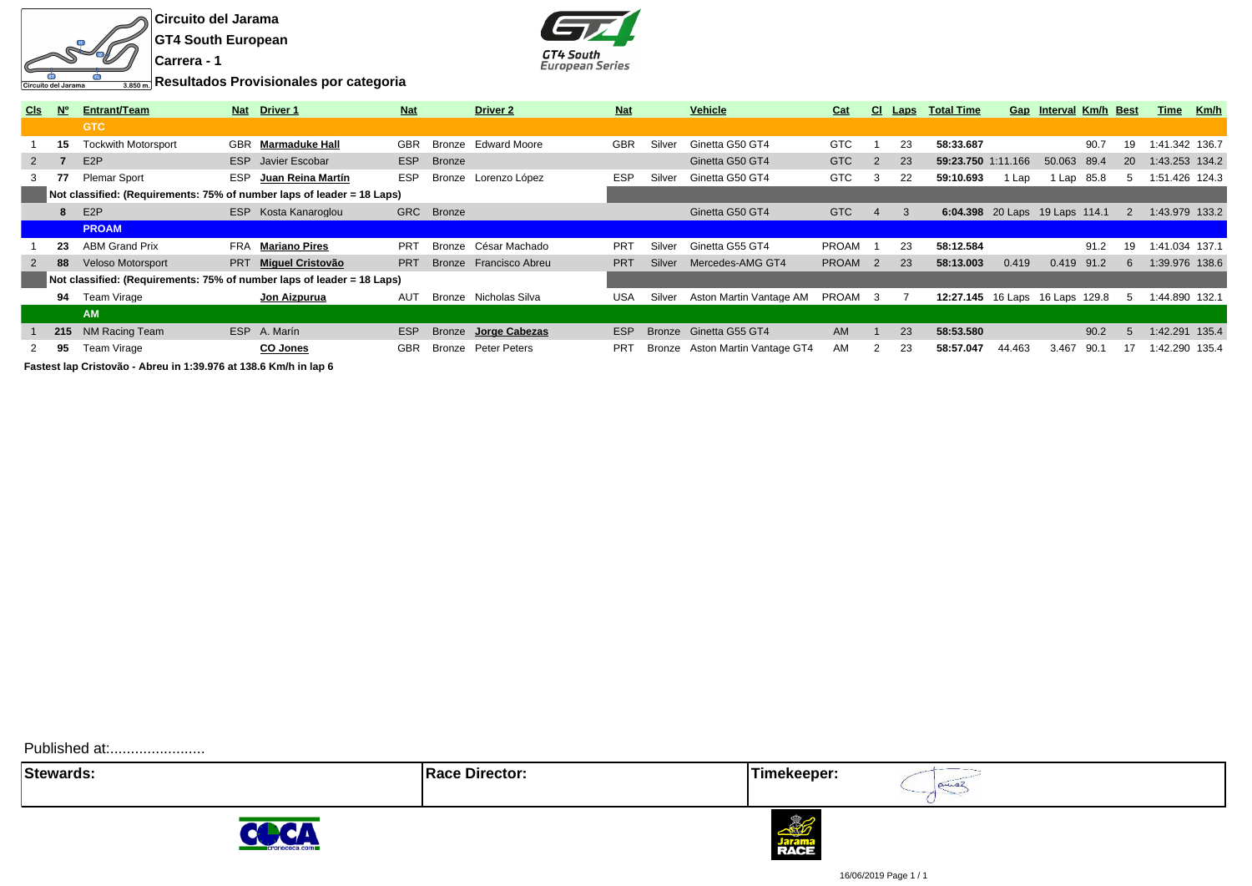



**Resultados Provisionales por categoria**

| <b>CIs</b>   | <b>No</b> | <b>Entrant/Team</b>                                                    | <b>Nat</b> | <b>Driver 1</b>           | <b>Nat</b> |               | Driver <sub>2</sub>   | <b>Nat</b> |               | <b>Vehicle</b>           | Cat          | CI.            | <u>Laps</u>   | <b>Total Time</b>               | Gap    | <b>Interval Km/h Best</b> |          |           | Time           | Km/h |
|--------------|-----------|------------------------------------------------------------------------|------------|---------------------------|------------|---------------|-----------------------|------------|---------------|--------------------------|--------------|----------------|---------------|---------------------------------|--------|---------------------------|----------|-----------|----------------|------|
|              |           | <b>GTC</b>                                                             |            |                           |            |               |                       |            |               |                          |              |                |               |                                 |        |                           |          |           |                |      |
|              | 15        | <b>Tockwith Motorsport</b>                                             |            | <b>GBR</b> Marmaduke Hall | <b>GBR</b> | Bronze        | <b>Edward Moore</b>   | <b>GBR</b> | Silver        | Ginetta G50 GT4          | <b>GTC</b>   |                | 23            | 58:33.687                       |        |                           | 90.7     | 19        | 1:41.342 136.7 |      |
| $\mathbf{2}$ |           | E <sub>2</sub> P                                                       |            | <b>ESP</b> Javier Escobar | ESP        | <b>Bronze</b> |                       |            |               | Ginetta G50 GT4          | <b>GTC</b>   | 2              | 23            | 59:23.750 1:11.166              |        | 50.063 89.4               |          | <b>20</b> | 1:43.253 134.2 |      |
| 3            | 77        | <b>Plemar Sport</b>                                                    | <b>ESP</b> | Juan Reina Martín         | <b>ESP</b> | Bronze        | Lorenzo López         | <b>ESP</b> | Silver        | Ginetta G50 GT4          | <b>GTC</b>   | 3              | 22            | 59:10.693                       | l Lap  |                           | Lap 85.8 |           | 1:51.426 124.3 |      |
|              |           | Not classified: (Requirements: 75% of number laps of leader = 18 Laps) |            |                           |            |               |                       |            |               |                          |              |                |               |                                 |        |                           |          |           |                |      |
|              |           | E <sub>2</sub> P                                                       |            | ESP Kosta Kanaroglou      |            | GRC Bronze    |                       |            |               | Ginetta G50 GT4          | <b>GTC</b>   | $\overline{4}$ | $\mathcal{B}$ | 6:04.398 20 Laps 19 Laps 114.1  |        |                           |          |           | 1:43.979 133.2 |      |
|              |           | <b>PROAM</b>                                                           |            |                           |            |               |                       |            |               |                          |              |                |               |                                 |        |                           |          |           |                |      |
|              | 23        | <b>ABM Grand Prix</b>                                                  | FRA        | Mariano Pires             | <b>PRT</b> | Bronze        | César Machado         | PRT        | Silver        | Ginetta G55 GT4          | <b>PROAM</b> |                | 23            | 58:12.584                       |        |                           | 91.2     | 19        | 1:41.034 137.1 |      |
|              | 88        | <b>Veloso Motorsport</b>                                               |            | PRT Miquel Cristovão      | <b>PRT</b> | Bronze        | Francisco Abreu       | <b>PRT</b> | Silver        | Mercedes-AMG GT4         | <b>PROAM</b> | $\overline{2}$ | 23            | 58:13.003                       | 0.419  | 0.419 91.2                |          | 6.        | 1:39.976 138.6 |      |
|              |           | Not classified: (Requirements: 75% of number laps of leader = 18 Laps) |            |                           |            |               |                       |            |               |                          |              |                |               |                                 |        |                           |          |           |                |      |
|              | 94        | Team Virage                                                            |            | Jon Aizpurua              | AUT        |               | Bronze Nicholas Silva | <b>USA</b> | Silver        | Aston Martin Vantage AM  | PROAM        | -3             |               | 12:27.145 16 Laps 16 Laps 129.8 |        |                           |          | 5         | 1:44.890 132.1 |      |
|              |           | <b>AM</b>                                                              |            |                           |            |               |                       |            |               |                          |              |                |               |                                 |        |                           |          |           |                |      |
|              |           | 215 NM Racing Team                                                     |            | ESP A. Marín              | ESP        | Bronze        | Jorge Cabezas         | <b>ESP</b> | <b>Bronze</b> | Ginetta G55 GT4          | <b>AM</b>    |                | 23            | 58:53.580                       |        |                           | 90.2     |           | :42.291 135.4  |      |
|              | 95        | Team Virage                                                            |            | CO Jones                  | <b>GBR</b> |               | Bronze Peter Peters   | <b>PRT</b> | Bronze        | Aston Martin Vantage GT4 | AM           | 2              | 23            | 58:57.047                       | 44.463 | 3.467                     | 90.1     | 17        | 1:42.290 135.4 |      |
|              |           | Footpat lan Criotovão Abrou in 1:20.076 ot 120 6 Km/h in lan 6         |            |                           |            |               |                       |            |               |                          |              |                |               |                                 |        |                           |          |           |                |      |

**Fastest lap Cristovão - Abreu in 1:39.976 at 138.6 Km/h in lap 6**

Published at:........................

**Stewards:** Timekeeper:









16/06/2019 Page 1 / 1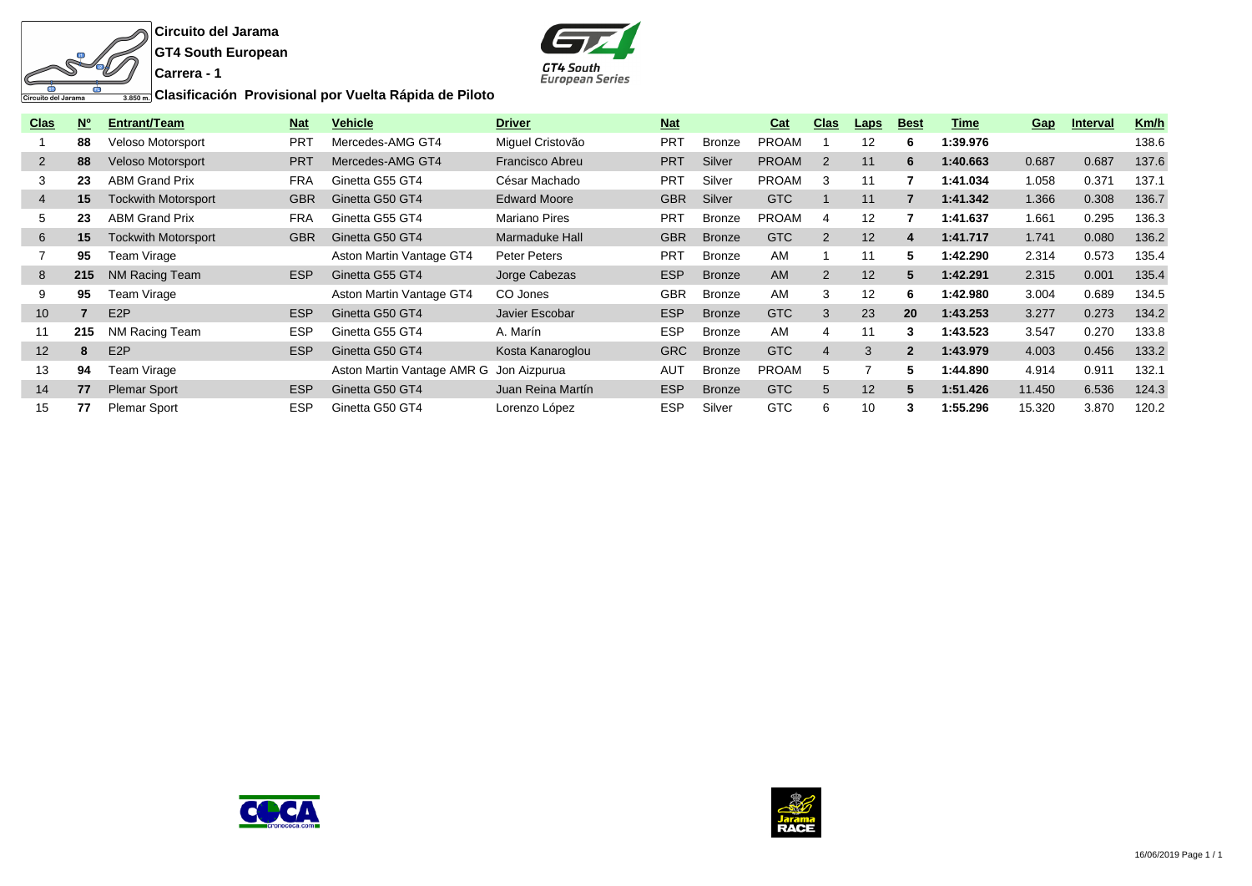



**Clasificación Provisional por Vuelta Rápida de Piloto**

| <u>Clas</u>     | <b>No</b> | Entrant/Team               | <b>Nat</b> | <b>Vehicle</b>             | <b>Driver</b>          | <b>Nat</b> |               | <b>Cat</b>   | <b>Clas</b>    | <u>Laps</u> | <b>Best</b>  | Time     | Gap    | <b>Interval</b> | Km/h  |
|-----------------|-----------|----------------------------|------------|----------------------------|------------------------|------------|---------------|--------------|----------------|-------------|--------------|----------|--------|-----------------|-------|
|                 | 88        | <b>Veloso Motorsport</b>   | <b>PRT</b> | Mercedes-AMG GT4           | Miguel Cristovão       | <b>PRT</b> | Bronze        | <b>PROAM</b> |                | 12          | 6            | 1:39.976 |        |                 | 138.6 |
| $\overline{2}$  | 88        | <b>Veloso Motorsport</b>   | <b>PRT</b> | Mercedes-AMG GT4           | <b>Francisco Abreu</b> | <b>PRT</b> | Silver        | <b>PROAM</b> | 2              | 11          | 6            | 1:40.663 | 0.687  | 0.687           | 137.6 |
| 3               | 23        | <b>ABM Grand Prix</b>      | <b>FRA</b> | Ginetta G55 GT4            | César Machado          | <b>PRT</b> | Silver        | <b>PROAM</b> | 3              | 11          |              | 1:41.034 | 1.058  | 0.371           | 137.1 |
| 4               | 15        | <b>Tockwith Motorsport</b> | <b>GBR</b> | Ginetta G50 GT4            | <b>Edward Moore</b>    | <b>GBR</b> | Silver        | GTC          |                | 11          |              | 1:41.342 | 1.366  | 0.308           | 136.7 |
| 5               | 23        | <b>ABM Grand Prix</b>      | <b>FRA</b> | Ginetta G55 GT4            | <b>Mariano Pires</b>   | <b>PRT</b> | Bronze        | <b>PROAM</b> | 4              | 12          |              | 1:41.637 | 1.661  | 0.295           | 136.3 |
| 6               | 15        | <b>Tockwith Motorsport</b> | <b>GBR</b> | Ginetta G50 GT4            | Marmaduke Hall         | <b>GBR</b> | <b>Bronze</b> | GTC          | 2              | 12          | 4            | 1:41.717 | 1.741  | 0.080           | 136.2 |
|                 | 95        | Team Virage                |            | Aston Martin Vantage GT4   | <b>Peter Peters</b>    | <b>PRT</b> | Bronze        | AM           |                | 11          | b.           | 1:42.290 | 2.314  | 0.573           | 135.4 |
| 8               | 215       | NM Racing Team             | <b>ESP</b> | Ginetta G55 GT4            | Jorge Cabezas          | <b>ESP</b> | <b>Bronze</b> | AM           | $\overline{2}$ | 12          | 5            | 1:42.291 | 2.315  | 0.001           | 135.4 |
| 9               | 95        | Team Virage                |            | Aston Martin Vantage GT4   | CO Jones               | <b>GBR</b> | Bronze        | AM           | 3              | 12          | 6            | 1:42.980 | 3.004  | 0.689           | 134.5 |
| 10 <sup>°</sup> |           | E <sub>2</sub> P           | <b>ESP</b> | Ginetta G50 GT4            | Javier Escobar         | <b>ESP</b> | <b>Bronze</b> | GTC          | 3              | 23          | 20           | 1:43.253 | 3.277  | 0.273           | 134.2 |
| 11              | 215       | NM Racing Team             | <b>ESP</b> | Ginetta G55 GT4            | A. Marín               | <b>ESP</b> | Bronze        | AM           | 4              | 11          | 3            | 1:43.523 | 3.547  | 0.270           | 133.8 |
| 12 <sup>2</sup> | 8         | E <sub>2</sub> P           | <b>ESP</b> | Ginetta G50 GT4            | Kosta Kanaroglou       | <b>GRC</b> | <b>Bronze</b> | GTC          | $\overline{4}$ | 3           | $\mathbf{p}$ | 1:43.979 | 4.003  | 0.456           | 133.2 |
| 13              | 94        | Team Virage                |            | Aston Martin Vantage AMR G | Jon Aizpurua           | <b>AUT</b> | Bronze        | <b>PROAM</b> | 5              |             | 5.           | 1:44.890 | 4.914  | 0.911           | 132.1 |
| 14              | 77        | <b>Plemar Sport</b>        | <b>ESP</b> | Ginetta G50 GT4            | Juan Reina Martín      | <b>ESP</b> | <b>Bronze</b> | GTC          | 5              | 12          | 5            | 1:51.426 | 11.450 | 6.536           | 124.3 |
| 15              | 77        | <b>Plemar Sport</b>        | <b>ESP</b> | Ginetta G50 GT4            | Lorenzo López          | <b>ESP</b> | Silver        | <b>GTC</b>   | 6              | 10          |              | 1:55.296 | 15.320 | 3.870           | 120.2 |



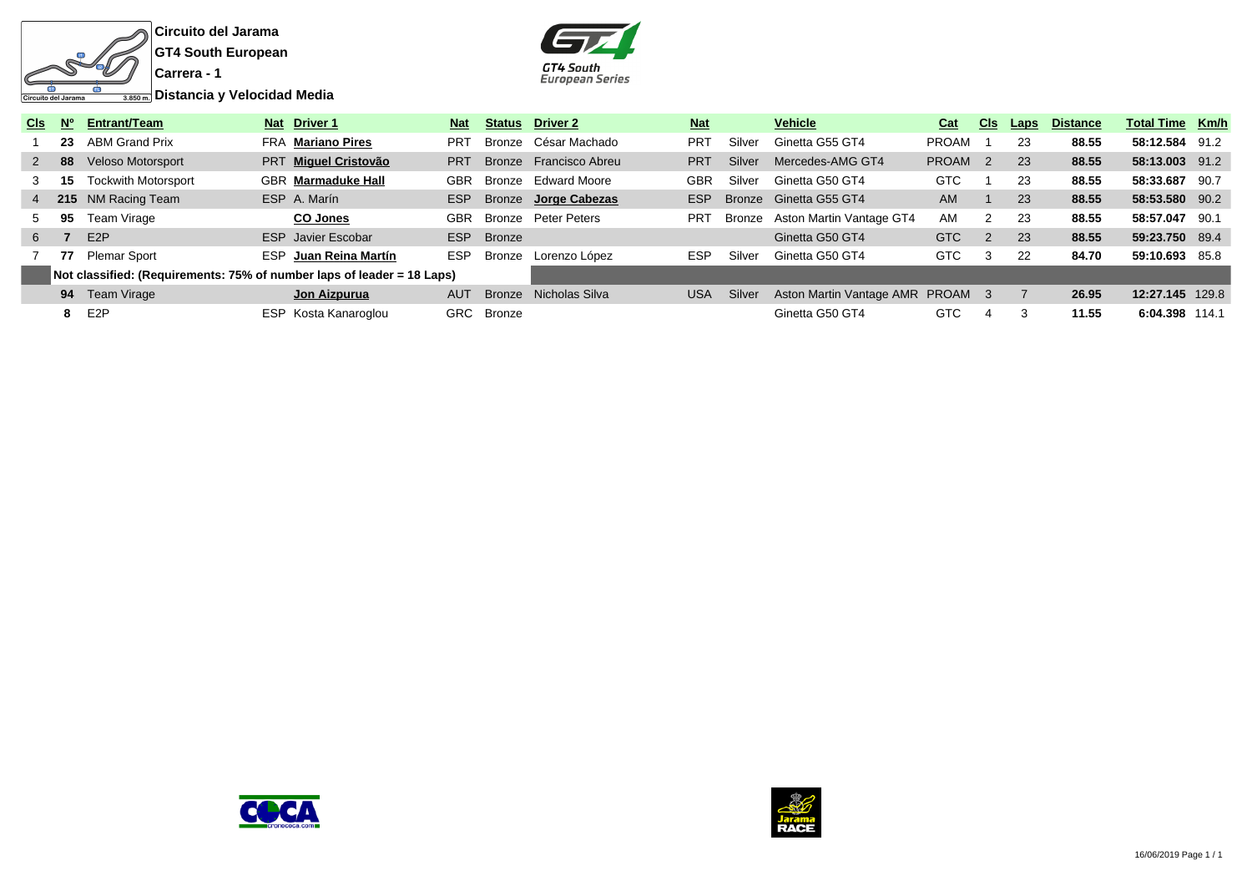



| Cls -       | - N° | <b>Entrant/Team</b>                                                    |            | Nat Driver 1              | <b>Nat</b> | <b>Status</b> | Driver 2               | <b>Nat</b> |        | <b>Vehicle</b>                   | Cat                | <u>CIs</u>           | Laps | <b>Distance</b> | <b>Total Time Km/h</b> |      |
|-------------|------|------------------------------------------------------------------------|------------|---------------------------|------------|---------------|------------------------|------------|--------|----------------------------------|--------------------|----------------------|------|-----------------|------------------------|------|
|             |      | 23 ABM Grand Prix                                                      |            | FRA Mariano Pires         | <b>PRT</b> |               | Bronze César Machado   | <b>PRT</b> | Silver | Ginetta G55 GT4                  | <b>PROAM</b>       |                      | 23   | 88.55           | 58:12.584 91.2         |      |
| $2^{\circ}$ | 88   | <b>Veloso Motorsport</b>                                               |            | PRT Miquel Cristovão      | <b>PRT</b> |               | Bronze Francisco Abreu | <b>PRT</b> | Silver | Mercedes-AMG GT4                 | PROAM <sub>2</sub> |                      | 23   | 88.55           | 58:13.003 91.2         |      |
|             | 15   | <b>Tockwith Motorsport</b>                                             |            | <b>GBR</b> Marmaduke Hall | GBR        |               | Bronze Edward Moore    | GBR        | Silver | Ginetta G50 GT4                  | GTC                |                      | 23   | 88.55           | 58:33.687              | 90.7 |
|             |      | 4 215 NM Racing Team                                                   |            | ESP A. Marín              | <b>ESP</b> |               | Bronze Jorge Cabezas   | ESP        |        | Bronze Ginetta G55 GT4           | <b>AM</b>          |                      | 23   | 88.55           | 58:53.580 90.2         |      |
| 5           | 95   | Team Virage                                                            |            | <b>CO Jones</b>           | GBR        | Bronze        | Peter Peters           | <b>PRT</b> | Bronze | Aston Martin Vantage GT4         | AM                 | $\mathbf{2}^{\circ}$ | 23   | 88.55           | 58:57.047              | 90.1 |
| 6           |      | E <sub>2</sub> P                                                       |            | <b>ESP</b> Javier Escobar | ESP        | <b>Bronze</b> |                        |            |        | Ginetta G50 GT4                  | GTC                | $\overline{2}$       | 23   | 88.55           | 59:23.750 89.4         |      |
|             | 77   | Plemar Sport                                                           | ESP.       | Juan Reina Martín         | <b>ESP</b> | Bronze        | Lorenzo López          | <b>ESP</b> | Silver | Ginetta G50 GT4                  | <b>GTC</b>         | 3                    | 22   | 84.70           | 59:10.693 85.8         |      |
|             |      | Not classified: (Requirements: 75% of number laps of leader = 18 Laps) |            |                           |            |               |                        |            |        |                                  |                    |                      |      |                 |                        |      |
|             |      | <b>94</b> Team Virage                                                  |            | Jon Aizpurua              | <b>AUT</b> | Bronze        | Nicholas Silva         | <b>USA</b> | Silver | Aston Martin Vantage AMR PROAM 3 |                    |                      |      | 26.95           | 12:27.145 129.8        |      |
|             | -8   | E2P                                                                    | <b>ESP</b> | Kosta Kanaroglou          | GRC        | Bronze        |                        |            |        | Ginetta G50 GT4                  | GTC                | 4                    |      | 11.55           | 6:04.398 114.1         |      |



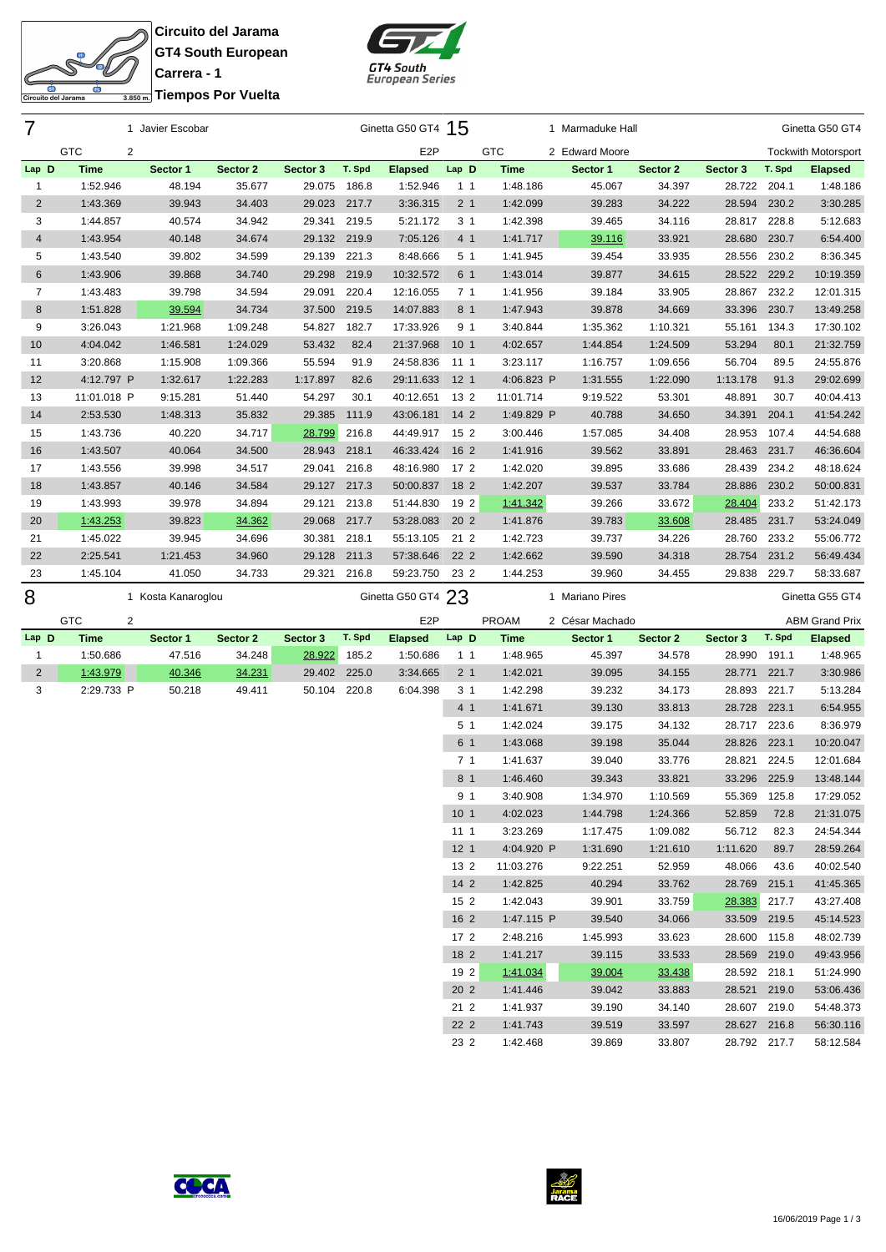**Circuito del Jarama GT4 South European Carrera - 1**

SR

굴

Circuito del Jarama



| 3.850m. Tiempos Por Vuelta |  |
|----------------------------|--|

| 7              |                              | 1 Javier Escobar   |          |              |        | Ginetta G50 GT4 15 |                 |                      | 1 Marmaduke Hall |                  |                              |        | Ginetta G50 GT4            |
|----------------|------------------------------|--------------------|----------|--------------|--------|--------------------|-----------------|----------------------|------------------|------------------|------------------------------|--------|----------------------------|
|                | <b>GTC</b><br>2              |                    |          |              |        | E <sub>2</sub> P   |                 | <b>GTC</b>           | 2 Edward Moore   |                  |                              |        | <b>Tockwith Motorsport</b> |
| Lap D          | <b>Time</b>                  | Sector 1           | Sector 2 | Sector 3     | T. Spd | <b>Elapsed</b>     | Lap D           | Time                 | Sector 1         | Sector 2         | Sector 3                     | T. Spd | <b>Elapsed</b>             |
| 1              | 1:52.946                     | 48.194             | 35.677   | 29.075       | 186.8  | 1:52.946           | 1 <sub>1</sub>  | 1:48.186             | 45.067           | 34.397           | 28.722                       | 204.1  | 1:48.186                   |
| $\overline{2}$ | 1:43.369                     | 39.943             | 34.403   | 29.023       | 217.7  | 3:36.315           | 2 <sub>1</sub>  | 1:42.099             | 39.283           | 34.222           | 28.594                       | 230.2  | 3:30.285                   |
| 3              | 1:44.857                     | 40.574             | 34.942   | 29.341       | 219.5  | 5:21.172           | 3 <sub>1</sub>  | 1:42.398             | 39.465           | 34.116           | 28.817                       | 228.8  | 5:12.683                   |
| $\overline{4}$ | 1:43.954                     | 40.148             | 34.674   | 29.132 219.9 |        | 7:05.126           | 4 1             | 1:41.717             | 39.116           | 33.921           | 28.680 230.7                 |        | 6:54.400                   |
| 5              | 1:43.540                     | 39.802             | 34.599   | 29.139       | 221.3  | 8:48.666           | 5 1             | 1:41.945             | 39.454           | 33.935           | 28.556 230.2                 |        | 8:36.345                   |
| $\,6$          | 1:43.906                     | 39.868             | 34.740   | 29.298       | 219.9  | 10:32.572          | 6 1             | 1:43.014             | 39.877           | 34.615           | 28.522 229.2                 |        | 10:19.359                  |
| 7              | 1:43.483                     | 39.798             | 34.594   | 29.091       | 220.4  | 12:16.055          | 7 <sub>1</sub>  | 1:41.956             | 39.184           | 33.905           | 28.867 232.2                 |        | 12:01.315                  |
| 8              | 1:51.828                     | 39.594             | 34.734   | 37.500       | 219.5  | 14:07.883          | 8 1             | 1:47.943             | 39.878           | 34.669           | 33.396 230.7                 |        | 13:49.258                  |
| 9              | 3:26.043                     | 1:21.968           | 1:09.248 | 54.827       | 182.7  | 17:33.926          | 9 1             | 3:40.844             | 1:35.362         | 1:10.321         | 55.161                       | 134.3  | 17:30.102                  |
| 10             | 4:04.042                     | 1:46.581           | 1:24.029 | 53.432       | 82.4   | 21:37.968          | 10 <sub>1</sub> | 4:02.657             | 1:44.854         | 1:24.509         | 53.294                       | 80.1   | 21:32.759                  |
| 11             | 3:20.868                     | 1:15.908           | 1:09.366 | 55.594       | 91.9   | 24:58.836          | 11 1            | 3:23.117             | 1:16.757         | 1:09.656         | 56.704                       | 89.5   | 24:55.876                  |
| 12             | 4:12.797 P                   | 1:32.617           | 1:22.283 | 1:17.897     | 82.6   | 29:11.633          | 12 <sub>1</sub> | 4:06.823 P           | 1:31.555         | 1:22.090         | 1:13.178                     | 91.3   | 29:02.699                  |
| 13             | 11:01.018 P                  | 9:15.281           | 51.440   | 54.297       | 30.1   | 40:12.651          | 13 2            | 11:01.714            | 9:19.522         | 53.301           | 48.891                       | 30.7   | 40:04.413                  |
| 14             | 2:53.530                     | 1:48.313           | 35.832   | 29.385       | 111.9  | 43:06.181          | $142$           | 1:49.829 P           | 40.788           | 34.650           | 34.391                       | 204.1  | 41:54.242                  |
| 15             | 1:43.736                     | 40.220             | 34.717   | 28.799       | 216.8  | 44:49.917          | 15 2            | 3:00.446             | 1:57.085         | 34.408           | 28.953                       | 107.4  | 44:54.688                  |
| 16             | 1:43.507                     | 40.064             | 34.500   | 28.943       | 218.1  | 46:33.424          | 16 2            | 1:41.916             | 39.562           | 33.891           | 28.463 231.7                 |        | 46:36.604                  |
| 17             | 1:43.556                     | 39.998             | 34.517   | 29.041       | 216.8  | 48:16.980          | 17 2            | 1:42.020             | 39.895           | 33.686           | 28.439                       | 234.2  | 48:18.624                  |
| 18             | 1:43.857                     | 40.146             | 34.584   | 29.127 217.3 |        | 50:00.837          | 18 2            | 1:42.207             | 39.537           | 33.784           | 28.886 230.2                 |        | 50:00.831                  |
| 19             | 1:43.993                     | 39.978             | 34.894   | 29.121       | 213.8  | 51:44.830          | 19 2            | 1:41.342             | 39.266           | 33.672           | 28.404                       | 233.2  | 51:42.173                  |
| 20             | 1:43.253                     | 39.823             | 34.362   | 29.068       | 217.7  | 53:28.083          | 20 2            | 1:41.876             | 39.783           | 33.608           | 28.485 231.7                 |        | 53:24.049                  |
| 21             | 1:45.022                     | 39.945             | 34.696   | 30.381       | 218.1  | 55:13.105          | 21 2            | 1:42.723             | 39.737           | 34.226           | 28.760 233.2                 |        | 55:06.772                  |
| 22             | 2:25.541                     | 1:21.453           | 34.960   | 29.128       | 211.3  | 57:38.646          | 22 2            | 1:42.662             | 39.590           | 34.318           | 28.754 231.2                 |        | 56:49.434                  |
| 23             | 1:45.104                     | 41.050             | 34.733   | 29.321       | 216.8  | 59:23.750          | 23 2            | 1:44.253             | 39.960           | 34.455           | 29.838                       | 229.7  | 58:33.687                  |
|                |                              |                    |          |              |        |                    |                 |                      |                  |                  |                              |        |                            |
| 8              |                              | 1 Kosta Kanaroglou |          |              |        | Ginetta G50 GT4 23 |                 |                      | 1 Mariano Pires  |                  |                              |        | Ginetta G55 GT4            |
|                | <b>GTC</b><br>$\overline{2}$ |                    |          |              |        | E <sub>2</sub> P   |                 | <b>PROAM</b>         | 2 César Machado  |                  |                              |        | <b>ABM Grand Prix</b>      |
| Lap D          | <b>Time</b>                  | Sector 1           | Sector 2 | Sector 3     | T. Spd | <b>Elapsed</b>     | Lap D           | Time                 | Sector 1         | Sector 2         | Sector 3                     | T. Spd | <b>Elapsed</b>             |
| 1              | 1:50.686                     | 47.516             | 34.248   | 28.922       | 185.2  | 1:50.686           | $1\quad1$       | 1:48.965             | 45.397           | 34.578           | 28.990                       | 191.1  | 1:48.965                   |
| $\sqrt{2}$     | 1:43.979                     | 40.346             | 34.231   | 29.402       | 225.0  | 3:34.665           | 2 <sub>1</sub>  | 1:42.021             | 39.095           | 34.155           | 28.771 221.7                 |        | 3:30.986                   |
| 3              | 2:29.733 P                   | 50.218             | 49.411   | 50.104       | 220.8  | 6:04.398           | 3 <sub>1</sub>  | 1:42.298             | 39.232           | 34.173           | 28.893 221.7                 |        | 5:13.284                   |
|                |                              |                    |          |              |        |                    | 4 1             | 1:41.671             | 39.130           | 33.813           | 28.728 223.1                 |        | 6:54.955                   |
|                |                              |                    |          |              |        |                    | 51              | 1:42.024             | 39.175           | 34.132           | 28.717 223.6                 |        | 8:36.979                   |
|                |                              |                    |          |              |        |                    | 6 1             | 1:43.068             | 39.198           | 35.044           | 28.826 223.1                 |        | 10:20.047                  |
|                |                              |                    |          |              |        |                    | 7 <sub>1</sub>  | 1:41.637             | 39.040           | 33.776           | 28.821                       | 224.5  | 12:01.684                  |
|                |                              |                    |          |              |        |                    | 8 <sub>1</sub>  | 1:46.460             | 39.343           | 33.821           | 33.296 225.9                 |        | 13:48.144                  |
|                |                              |                    |          |              |        |                    | 91              | 3:40.908             | 1:34.970         | 1:10.569         | 55.369 125.8                 |        | 17:29.052                  |
|                |                              |                    |          |              |        |                    | 10 <sub>1</sub> | 4:02.023             | 1:44.798         | 1:24.366         | 52.859                       | 72.8   | 21:31.075                  |
|                |                              |                    |          |              |        |                    | 111             | 3:23.269             | 1:17.475         | 1:09.082         | 56.712                       | 82.3   | 24:54.344                  |
|                |                              |                    |          |              |        |                    | 12 <sub>1</sub> | 4:04.920 P           | 1:31.690         | 1:21.610         | 1:11.620                     | 89.7   | 28:59.264                  |
|                |                              |                    |          |              |        |                    | 13 2            | 11:03.276            | 9:22.251         | 52.959           | 48.066                       | 43.6   | 40:02.540                  |
|                |                              |                    |          |              |        |                    | $142$           | 1:42.825             | 40.294           | 33.762           | 28.769                       | 215.1  | 41:45.365                  |
|                |                              |                    |          |              |        |                    | 15 <sub>2</sub> | 1:42.043             | 39.901           | 33.759           | 28.383                       | 217.7  | 43:27.408                  |
|                |                              |                    |          |              |        |                    | 16 <sub>2</sub> | 1:47.115 P           | 39.540           | 34.066           | 33.509                       | 219.5  | 45:14.523                  |
|                |                              |                    |          |              |        |                    | $172$           | 2:48.216             | 1:45.993         | 33.623           | 28.600 115.8                 |        | 48:02.739                  |
|                |                              |                    |          |              |        |                    | 18 2            | 1:41.217             | 39.115           | 33.533           | 28.569 219.0                 |        | 49:43.956                  |
|                |                              |                    |          |              |        |                    | 19 2            | 1:41.034             | 39.004           | 33.438           | 28.592 218.1                 |        | 51:24.990                  |
|                |                              |                    |          |              |        |                    | 20 2            | 1:41.446             | 39.042           | 33.883           | 28.521 219.0                 |        | 53:06.436                  |
|                |                              |                    |          |              |        |                    | 21 2            | 1:41.937             | 39.190           | 34.140           | 28.607 219.0                 |        | 54:48.373                  |
|                |                              |                    |          |              |        |                    | $22\,2$<br>23 2 | 1:41.743<br>1:42.468 | 39.519<br>39.869 | 33.597<br>33.807 | 28.627 216.8<br>28.792 217.7 |        | 56:30.116<br>58:12.584     |



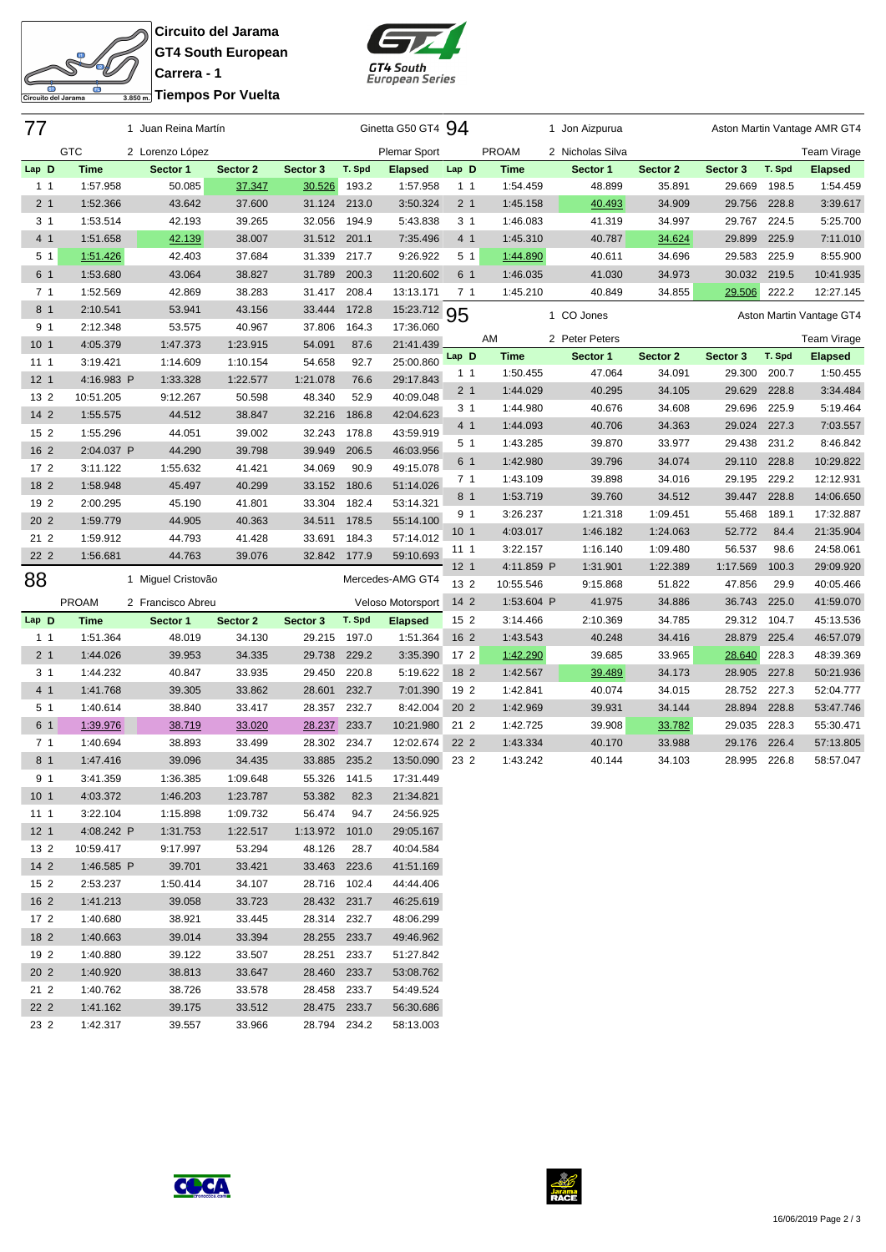$\overline{\mathbf{p}}$ ito del Jarama

**Circuito del Jarama GT4 South European Carrera - 1 Tiempos Por Vuelta**



| 77              |                      | 1 Juan Reina Martín |                  |                        | Ginetta G50 GT4 94 |                        |                 | 1 Jon Aizpurua |                  |          |              | Aston Martin Vantage AMR GT4 |                          |
|-----------------|----------------------|---------------------|------------------|------------------------|--------------------|------------------------|-----------------|----------------|------------------|----------|--------------|------------------------------|--------------------------|
|                 | <b>GTC</b>           | 2 Lorenzo López     |                  |                        |                    | Plemar Sport           |                 | <b>PROAM</b>   | 2 Nicholas Silva |          |              |                              | Team Virage              |
| Lap D           | <b>Time</b>          | Sector 1            | Sector 2         | Sector 3               | T. Spd             | <b>Elapsed</b>         | Lap D           | <b>Time</b>    | Sector 1         | Sector 2 | Sector 3     | T. Spd                       | <b>Elapsed</b>           |
| 1 <sub>1</sub>  | 1:57.958             | 50.085              | 37.347           | 30.526                 | 193.2              | 1:57.958               | 1 <sub>1</sub>  | 1:54.459       | 48.899           | 35.891   | 29.669       | 198.5                        | 1:54.459                 |
| 2 <sub>1</sub>  | 1:52.366             | 43.642              | 37.600           | 31.124                 | 213.0              | 3:50.324               | 2 <sub>1</sub>  | 1:45.158       | 40.493           | 34.909   | 29.756 228.8 |                              | 3:39.617                 |
| 3 <sub>1</sub>  | 1:53.514             | 42.193              | 39.265           | 32.056                 | 194.9              | 5:43.838               | 3 <sub>1</sub>  | 1:46.083       | 41.319           | 34.997   | 29.767       | 224.5                        | 5:25.700                 |
| 4 1             | 1:51.658             | 42.139              | 38.007           | 31.512                 | 201.1              | 7:35.496               | 4 <sub>1</sub>  | 1:45.310       | 40.787           | 34.624   | 29.899       | 225.9                        | 7:11.010                 |
| 5 <sub>1</sub>  | 1:51.426             | 42.403              | 37.684           | 31.339                 | 217.7              | 9:26.922               | 5 <sub>1</sub>  | 1:44.890       | 40.611           | 34.696   | 29.583       | 225.9                        | 8:55.900                 |
| 6 1             | 1:53.680             | 43.064              | 38.827           | 31.789                 | 200.3              | 11:20.602              | 6 1             | 1:46.035       | 41.030           | 34.973   | 30.032 219.5 |                              | 10:41.935                |
| 7 <sub>1</sub>  | 1:52.569             | 42.869              | 38.283           | 31.417                 | 208.4              | 13:13.171              | 7 <sub>1</sub>  | 1:45.210       | 40.849           | 34.855   | 29.506       | 222.2                        | 12:27.145                |
| 8 <sub>1</sub>  | 2:10.541             | 53.941              | 43.156           | 33.444                 | 172.8              | 15:23.712              | 95              |                | 1 CO Jones       |          |              |                              | Aston Martin Vantage GT4 |
| 9 <sub>1</sub>  | 2:12.348             | 53.575              | 40.967           | 37.806                 | 164.3              | 17:36.060              |                 |                |                  |          |              |                              |                          |
| 10 <sub>1</sub> | 4:05.379             | 1:47.373            | 1:23.915         | 54.091                 | 87.6               | 21:41.439              |                 | AM             | 2 Peter Peters   |          |              |                              | Team Virage              |
| 111             | 3:19.421             | 1:14.609            | 1:10.154         | 54.658                 | 92.7               | 25:00.860              | Lap D           | <b>Time</b>    | Sector 1         | Sector 2 | Sector 3     | T. Spd                       | <b>Elapsed</b>           |
| 12 <sub>1</sub> | 4:16.983 P           | 1:33.328            | 1:22.577         | 1:21.078               | 76.6               | 29:17.843              | 1 <sub>1</sub>  | 1:50.455       | 47.064           | 34.091   | 29.300       | 200.7                        | 1:50.455                 |
| 13 2            | 10:51.205            | 9:12.267            | 50.598           | 48.340                 | 52.9               | 40:09.048              | 2 <sub>1</sub>  | 1:44.029       | 40.295           | 34.105   | 29.629       | 228.8                        | 3:34.484                 |
| 14 2            | 1:55.575             | 44.512              | 38.847           | 32.216                 | 186.8              | 42:04.623              | 3 <sub>1</sub>  | 1:44.980       | 40.676           | 34.608   | 29.696       | 225.9                        | 5:19.464                 |
| 15 2            | 1:55.296             | 44.051              | 39.002           | 32.243                 | 178.8              | 43:59.919              | 4 1             | 1:44.093       | 40.706           | 34.363   | 29.024 227.3 |                              | 7:03.557                 |
| 16 2            | 2:04.037 P           | 44.290              | 39.798           | 39.949                 | 206.5              | 46:03.956              | 5 <sub>1</sub>  | 1:43.285       | 39.870           | 33.977   | 29.438       | 231.2                        | 8:46.842                 |
| 17 <sub>2</sub> | 3:11.122             | 1:55.632            | 41.421           | 34.069                 | 90.9               | 49:15.078              | 6 1             | 1:42.980       | 39.796           | 34.074   | 29.110 228.8 |                              | 10:29.822                |
| 18 2            | 1:58.948             | 45.497              | 40.299           | 33.152                 | 180.6              | 51:14.026              | 7 <sub>1</sub>  | 1:43.109       | 39.898           | 34.016   | 29.195       | 229.2                        | 12:12.931                |
| 19 2            | 2:00.295             | 45.190              | 41.801           | 33.304                 | 182.4              | 53:14.321              | 8 1             | 1:53.719       | 39.760           | 34.512   | 39.447 228.8 |                              | 14:06.650                |
| 20 2            | 1:59.779             | 44.905              | 40.363           | 34.511                 | 178.5              | 55:14.100              | 9 1             | 3:26.237       | 1:21.318         | 1:09.451 | 55.468       | 189.1                        | 17:32.887                |
| 21 2            | 1:59.912             | 44.793              | 41.428           | 33.691                 | 184.3              | 57:14.012              | 10 <sub>1</sub> | 4:03.017       | 1:46.182         | 1:24.063 | 52.772       | 84.4                         | 21:35.904                |
| 22 2            | 1:56.681             | 44.763              | 39.076           | 32.842                 | 177.9              | 59:10.693              | 111             | 3:22.157       | 1:16.140         | 1:09.480 | 56.537       | 98.6                         | 24:58.061                |
| 88              |                      | 1 Miguel Cristovão  |                  |                        |                    | Mercedes-AMG GT4       | 12 <sub>1</sub> | 4:11.859 P     | 1:31.901         | 1:22.389 | 1:17.569     | 100.3                        | 29:09.920                |
|                 |                      |                     |                  |                        |                    |                        | 13 2            | 10:55.546      | 9:15.868         | 51.822   | 47.856       | 29.9                         | 40:05.466                |
|                 | <b>PROAM</b>         | 2 Francisco Abreu   |                  |                        |                    | Veloso Motorsport      | $142$           | 1:53.604 P     | 41.975           | 34.886   | 36.743       | 225.0                        | 41:59.070                |
| Lap D           | <b>Time</b>          | Sector 1            | Sector 2         | Sector 3               | T. Spd             | <b>Elapsed</b>         | 15 2            | 3:14.466       | 2:10.369         | 34.785   | 29.312 104.7 |                              | 45:13.536                |
| 1 <sub>1</sub>  | 1:51.364             | 48.019              | 34.130           | 29.215                 | 197.0              | 1:51.364               | 16 <sub>2</sub> | 1:43.543       | 40.248           | 34.416   | 28.879       | 225.4                        | 46:57.079                |
| 2 <sub>1</sub>  | 1:44.026             | 39.953              | 34.335           | 29.738                 | 229.2              | 3:35.390               | 17 <sub>2</sub> | 1:42.290       | 39.685           | 33.965   | 28.640       | 228.3                        | 48:39.369                |
| 3 <sub>1</sub>  | 1:44.232             | 40.847              | 33.935           | 29.450                 | 220.8              | 5:19.622               | 18 2            | 1:42.567       | 39.489           | 34.173   | 28.905       | 227.8                        | 50:21.936                |
| 4 <sub>1</sub>  | 1:41.768             | 39.305              | 33.862           | 28.601                 | 232.7              | 7:01.390               | 19 2            | 1:42.841       | 40.074           | 34.015   | 28.752       | 227.3                        | 52:04.777                |
| 5 <sub>1</sub>  | 1:40.614             | 38.840              | 33.417           | 28.357                 | 232.7              | 8:42.004               | 20 2            | 1:42.969       | 39.931           | 34.144   | 28.894       | 228.8                        | 53:47.746                |
| 6 1             | 1:39.976             | 38.719              | 33.020           | 28.237                 | 233.7              | 10:21.980              | 21 2            | 1:42.725       | 39.908           | 33.782   | 29.035       | 228.3                        | 55:30.471                |
| 7 <sub>1</sub>  | 1:40.694             | 38.893              | 33.499           | 28.302                 | 234.7              | 12:02.674              | 22 2            | 1:43.334       | 40.170           | 33.988   | 29.176       | 226.4                        | 57:13.805                |
| 8 <sub>1</sub>  | 1:47.416             | 39.096              | 34.435           | 33.885                 | 235.2              | 13:50.090              | 23 2            | 1:43.242       | 40.144           | 34.103   | 28.995       | 226.8                        | 58:57.047                |
| 91              | 3:41.359             | 1:36.385            | 1:09.648         | 55.326                 | 141.5              | 17:31.449              |                 |                |                  |          |              |                              |                          |
| 10 <sub>1</sub> | 4:03.372             | 1:46.203            | 1:23.787         | 53.382                 | 82.3               | 21:34.821              |                 |                |                  |          |              |                              |                          |
| 11 1            | 3:22.104             | 1:15.898            | 1:09.732         | 56.474                 | 94.7               | 24:56.925              |                 |                |                  |          |              |                              |                          |
| 12 <sub>1</sub> | 4:08.242 P           | 1:31.753            | 1:22.517         | 1:13.972               | 101.0              | 29:05.167              |                 |                |                  |          |              |                              |                          |
| 13 2            | 10:59.417            | 9:17.997            | 53.294           | 48.126                 | 28.7               | 40:04.584              |                 |                |                  |          |              |                              |                          |
| $142$           | 1:46.585 P           | 39.701              | 33.421           | 33.463 223.6           |                    | 41:51.169              |                 |                |                  |          |              |                              |                          |
| 15 <sub>2</sub> | 2:53.237             | 1:50.414            | 34.107           | 28.716 102.4           |                    | 44:44.406              |                 |                |                  |          |              |                              |                          |
| 16 <sub>2</sub> | 1:41.213             | 39.058              | 33.723           | 28.432 231.7           |                    | 46:25.619              |                 |                |                  |          |              |                              |                          |
| $172$           | 1:40.680             | 38.921              | 33.445           | 28.314 232.7           |                    | 48:06.299              |                 |                |                  |          |              |                              |                          |
| 18 2            | 1:40.663             | 39.014              | 33.394           | 28.255 233.7           |                    | 49:46.962              |                 |                |                  |          |              |                              |                          |
| 19 2            | 1:40.880             | 39.122              | 33.507           | 28.251 233.7           |                    | 51:27.842              |                 |                |                  |          |              |                              |                          |
| 20 2<br>21 2    | 1:40.920             | 38.813              | 33.647           | 28.460                 | 233.7              | 53:08.762              |                 |                |                  |          |              |                              |                          |
|                 |                      |                     |                  |                        |                    |                        |                 |                |                  |          |              |                              |                          |
|                 | 1:40.762             | 38.726              | 33.578           | 28.458                 | 233.7              | 54:49.524              |                 |                |                  |          |              |                              |                          |
| 22 2<br>23 2    | 1:41.162<br>1:42.317 | 39.175<br>39.557    | 33.512<br>33.966 | 28.475<br>28.794 234.2 | 233.7              | 56:30.686<br>58:13.003 |                 |                |                  |          |              |                              |                          |



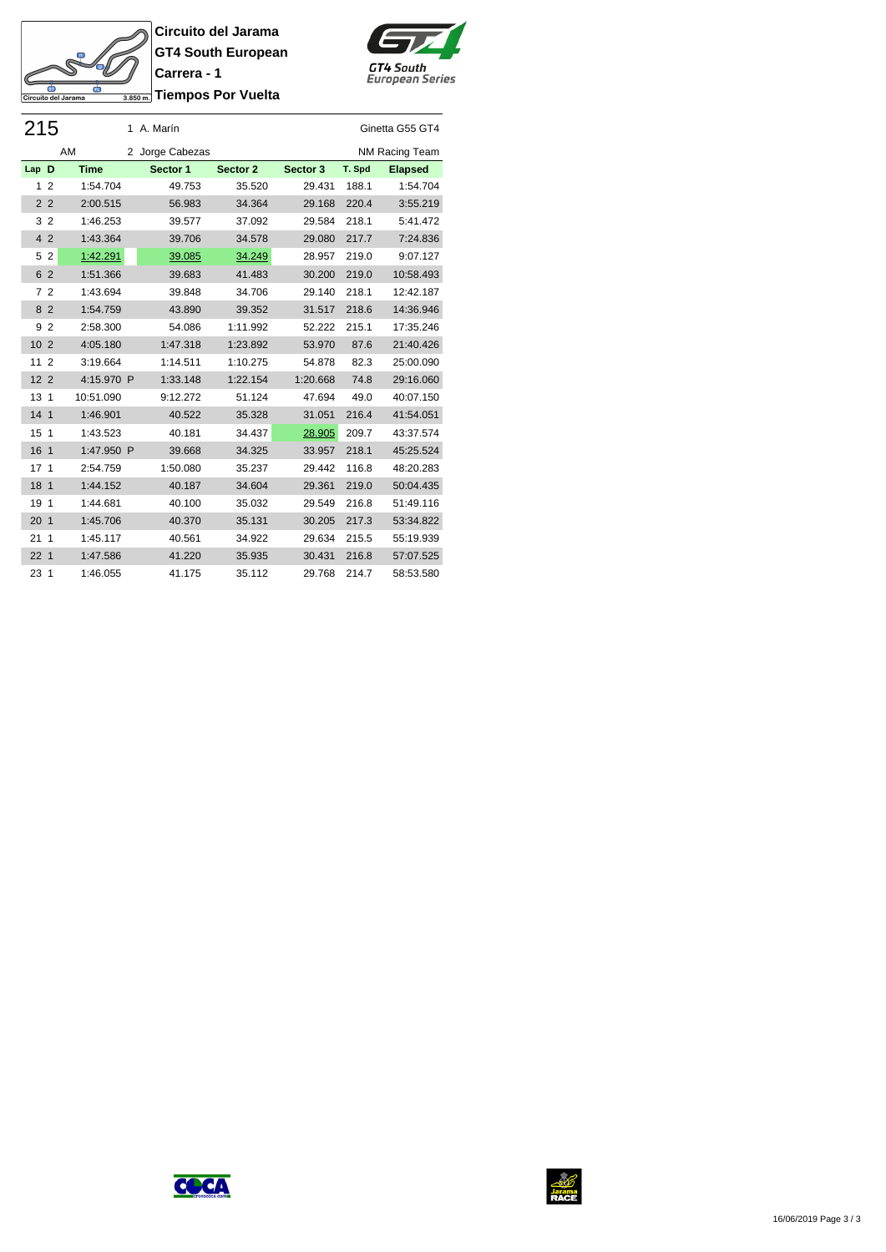**Circuito del Jarama GT4 South European Carrera - 1 Triempos Por Vuelta** 

SH

Circuito del Jarama

굴



|                 | 215            |             | 1 A. Marín      |          |          |        | Ginetta G55 GT4 |
|-----------------|----------------|-------------|-----------------|----------|----------|--------|-----------------|
|                 |                | AM          | 2 Jorge Cabezas |          |          |        | NM Racing Team  |
| Lap D           |                | <b>Time</b> | Sector 1        | Sector 2 | Sector 3 | T. Spd | <b>Elapsed</b>  |
| $\mathbf{1}$    | $\overline{2}$ | 1:54.704    | 49.753          | 35.520   | 29.431   | 188.1  | 1:54.704        |
| 2 <sub>2</sub>  |                | 2:00.515    | 56.983          | 34.364   | 29.168   | 220.4  | 3:55.219        |
| 3 <sub>2</sub>  |                | 1:46.253    | 39.577          | 37.092   | 29.584   | 218.1  | 5:41.472        |
| 4 2             |                | 1:43.364    | 39.706          | 34.578   | 29.080   | 217.7  | 7:24.836        |
| 5               | $\overline{2}$ | 1:42.291    | 39.085          | 34.249   | 28.957   | 219.0  | 9:07.127        |
| 6 2             |                | 1:51.366    | 39.683          | 41.483   | 30.200   | 219.0  | 10:58.493       |
| 72              |                | 1:43.694    | 39.848          | 34.706   | 29.140   | 218.1  | 12:42.187       |
| 8 2             |                | 1:54.759    | 43.890          | 39.352   | 31.517   | 218.6  | 14:36.946       |
| 9 <sub>2</sub>  |                | 2:58.300    | 54.086          | 1:11.992 | 52.222   | 215.1  | 17:35.246       |
| 10 <sub>2</sub> |                | 4:05.180    | 1:47.318        | 1:23.892 | 53.970   | 87.6   | 21:40.426       |
| 11 <sub>2</sub> |                | 3:19.664    | 1:14.511        | 1:10.275 | 54.878   | 82.3   | 25:00.090       |
| 12 <sub>2</sub> |                | 4:15.970 P  | 1:33.148        | 1:22.154 | 1:20.668 | 74.8   | 29:16.060       |
| 13 <sub>1</sub> |                | 10:51.090   | 9:12.272        | 51.124   | 47.694   | 49.0   | 40:07.150       |
| 14 <sub>1</sub> |                | 1:46.901    | 40.522          | 35.328   | 31.051   | 216.4  | 41:54.051       |
| 15 <sub>1</sub> |                | 1:43.523    | 40.181          | 34.437   | 28.905   | 209.7  | 43:37.574       |
| 16 <sub>1</sub> |                | 1:47.950 P  | 39.668          | 34.325   | 33.957   | 218.1  | 45:25.524       |
| 17 <sub>1</sub> |                | 2:54.759    | 1:50.080        | 35.237   | 29.442   | 116.8  | 48:20.283       |
| 18 1            |                | 1:44.152    | 40.187          | 34.604   | 29.361   | 219.0  | 50:04.435       |
| 19 1            |                | 1:44.681    | 40.100          | 35.032   | 29.549   | 216.8  | 51:49.116       |
| 20 <sub>1</sub> |                | 1:45.706    | 40.370          | 35.131   | 30.205   | 217.3  | 53:34.822       |
| 211             |                | 1:45.117    | 40.561          | 34.922   | 29.634   | 215.5  | 55:19.939       |
| 22 <sub>1</sub> |                | 1:47.586    | 41.220          | 35.935   | 30.431   | 216.8  | 57:07.525       |
| 23 <sub>1</sub> |                | 1:46.055    | 41.175          | 35.112   | 29.768   | 214.7  | 58:53.580       |

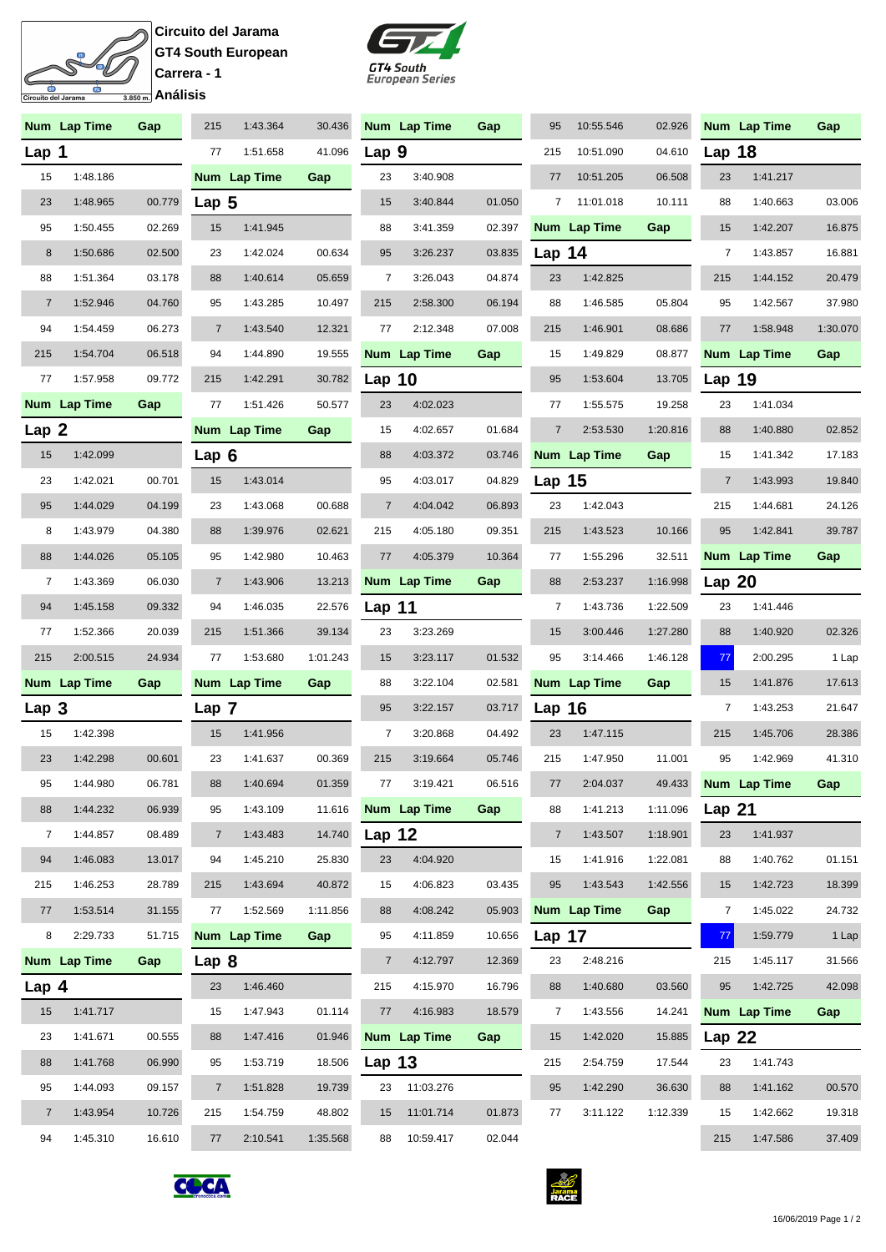## **Circuito del Jarama GT4 South European Carrera - 1** त <u>—</u><br>3.850 m. Análisis

 $\overline{\mathbf{p}}$  $\mathcal{S}$ 

ری<br>uito del Jarama



|                  | Num Lap Time | Gap    | 215              | 1:43.364     | 30.436   |                | Num Lap Time | Gap    | 95             | 10:55.546    | 02.926   |                   | Num Lap Time | Gap      |
|------------------|--------------|--------|------------------|--------------|----------|----------------|--------------|--------|----------------|--------------|----------|-------------------|--------------|----------|
| Lap $1$          |              |        | 77               | 1:51.658     | 41.096   | Lap 9          |              |        | 215            | 10:51.090    | 04.610   | Lap $18$          |              |          |
| 15               | 1:48.186     |        |                  | Num Lap Time | Gap      | 23             | 3:40.908     |        | 77             | 10:51.205    | 06.508   | 23                | 1:41.217     |          |
| 23               | 1:48.965     | 00.779 | Lap <sub>5</sub> |              |          | 15             | 3:40.844     | 01.050 |                | 7 11:01.018  | 10.111   | 88                | 1:40.663     | 03.006   |
| 95               | 1:50.455     | 02.269 | 15               | 1:41.945     |          | 88             | 3:41.359     | 02.397 |                | Num Lap Time | Gap      | 15                | 1:42.207     | 16.875   |
| 8                | 1:50.686     | 02.500 | 23               | 1:42.024     | 00.634   | 95             | 3:26.237     | 03.835 | Lap $14$       |              |          | $\overline{7}$    | 1:43.857     | 16.881   |
| 88               | 1:51.364     | 03.178 | 88               | 1:40.614     | 05.659   | 7              | 3:26.043     | 04.874 | 23             | 1:42.825     |          | 215               | 1:44.152     | 20.479   |
| $\overline{7}$   | 1:52.946     | 04.760 | 95               | 1:43.285     | 10.497   | 215            | 2:58.300     | 06.194 | 88             | 1:46.585     | 05.804   | 95                | 1:42.567     | 37.980   |
| 94               | 1:54.459     | 06.273 | $\overline{7}$   | 1:43.540     | 12.321   | 77             | 2:12.348     | 07.008 | 215            | 1:46.901     | 08.686   | 77                | 1:58.948     | 1:30.070 |
| 215              | 1:54.704     | 06.518 | 94               | 1:44.890     | 19.555   |                | Num Lap Time | Gap    | 15             | 1:49.829     | 08.877   |                   | Num Lap Time | Gap      |
| 77               | 1:57.958     | 09.772 | 215              | 1:42.291     | 30.782   | Lap $10$       |              |        | 95             | 1:53.604     | 13.705   | Lap 19            |              |          |
|                  | Num Lap Time | Gap    | 77               | 1:51.426     | 50.577   | 23             | 4:02.023     |        | 77             | 1:55.575     | 19.258   | 23                | 1:41.034     |          |
| Lap <sub>2</sub> |              |        |                  | Num Lap Time | Gap      | 15             | 4:02.657     | 01.684 | $\overline{7}$ | 2:53.530     | 1:20.816 | 88                | 1:40.880     | 02.852   |
| 15               | 1:42.099     |        | Lap <sub>6</sub> |              |          | 88             | 4:03.372     | 03.746 |                | Num Lap Time | Gap      | 15                | 1:41.342     | 17.183   |
| 23               | 1:42.021     | 00.701 | 15               | 1:43.014     |          | 95             | 4:03.017     | 04.829 | Lap $15$       |              |          | $\overline{7}$    | 1:43.993     | 19.840   |
| 95               | 1:44.029     | 04.199 | 23               | 1:43.068     | 00.688   | $\overline{7}$ | 4:04.042     | 06.893 | 23             | 1:42.043     |          | 215               | 1:44.681     | 24.126   |
| 8                | 1:43.979     | 04.380 | 88               | 1:39.976     | 02.621   | 215            | 4:05.180     | 09.351 | 215            | 1:43.523     | 10.166   | 95                | 1:42.841     | 39.787   |
| 88               | 1:44.026     | 05.105 | 95               | 1:42.980     | 10.463   | 77             | 4:05.379     | 10.364 | 77             | 1:55.296     | 32.511   |                   | Num Lap Time | Gap      |
| $\overline{7}$   | 1:43.369     | 06.030 | $\overline{7}$   | 1:43.906     | 13.213   |                | Num Lap Time | Gap    | 88             | 2:53.237     | 1:16.998 | Lap <sub>20</sub> |              |          |
| 94               | 1:45.158     | 09.332 | 94               | 1:46.035     | 22.576   | Lap $11$       |              |        | $\overline{7}$ | 1:43.736     | 1:22.509 | 23                | 1:41.446     |          |
| 77               | 1:52.366     | 20.039 | 215              | 1:51.366     | 39.134   | 23             | 3:23.269     |        | 15             | 3:00.446     | 1:27.280 | 88                | 1:40.920     | 02.326   |
| 215              | 2:00.515     | 24.934 | 77               | 1:53.680     | 1:01.243 | 15             | 3:23.117     | 01.532 | 95             | 3:14.466     | 1:46.128 | 77                | 2:00.295     | 1 Lap    |
|                  | Num Lap Time | Gap    |                  | Num Lap Time | Gap      | 88             | 3:22.104     | 02.581 |                | Num Lap Time | Gap      | 15                | 1:41.876     | 17.613   |
| Lap 3            |              |        | Lap 7            |              |          | 95             | 3:22.157     | 03.717 | Lap $16$       |              |          | $\overline{7}$    | 1:43.253     | 21.647   |
| 15               | 1:42.398     |        | 15               | 1:41.956     |          | 7              | 3:20.868     | 04.492 | 23             | 1:47.115     |          | 215               | 1:45.706     | 28.386   |
| 23               | 1:42.298     | 00.601 | 23               | 1:41.637     | 00.369   | 215            | 3:19.664     | 05.746 | 215            | 1:47.950     | 11.001   | 95                | 1:42.969     | 41.310   |
| 95               | 1:44.980     | 06.781 | 88               | 1:40.694     | 01.359   | 77             | 3:19.421     | 06.516 | $77$           | 2:04.037     | 49.433   |                   | Num Lap Time | Gap      |
| 88               | 1:44.232     | 06.939 | 95               | 1:43.109     | 11.616   |                | Num Lap Time | Gap    | 88             | 1:41.213     | 1:11.096 | Lap $21$          |              |          |
| $\overline{7}$   | 1:44.857     | 08.489 | $\overline{7}$   | 1:43.483     | 14.740   | Lap 12         |              |        | $\overline{7}$ | 1:43.507     | 1:18.901 | 23                | 1:41.937     |          |
| 94               | 1:46.083     | 13.017 | 94               | 1:45.210     | 25.830   | 23             | 4:04.920     |        | 15             | 1:41.916     | 1:22.081 | 88                | 1:40.762     | 01.151   |
| 215              | 1:46.253     | 28.789 | 215              | 1:43.694     | 40.872   | 15             | 4:06.823     | 03.435 | 95             | 1:43.543     | 1:42.556 | 15                | 1:42.723     | 18.399   |
| 77               | 1:53.514     | 31.155 | 77               | 1:52.569     | 1:11.856 | 88             | 4:08.242     | 05.903 |                | Num Lap Time | Gap      | 7                 | 1:45.022     | 24.732   |
| 8                | 2:29.733     | 51.715 |                  | Num Lap Time | Gap      | 95             | 4:11.859     | 10.656 | Lap $17$       |              |          | 77                | 1:59.779     | 1 Lap    |
|                  | Num Lap Time | Gap    | Lap <sub>8</sub> |              |          | $\overline{7}$ | 4:12.797     | 12.369 | 23             | 2:48.216     |          | 215               | 1:45.117     | 31.566   |
| Lap $4$          |              |        | 23               | 1:46.460     |          | 215            | 4:15.970     | 16.796 | 88             | 1:40.680     | 03.560   | 95                | 1:42.725     | 42.098   |
| 15               | 1:41.717     |        | 15               | 1:47.943     | 01.114   | 77             | 4:16.983     | 18.579 | $\overline{7}$ | 1:43.556     | 14.241   |                   | Num Lap Time | Gap      |
| 23               | 1:41.671     | 00.555 | 88               | 1:47.416     | 01.946   |                | Num Lap Time | Gap    | 15             | 1:42.020     | 15.885   | Lap $22$          |              |          |
| 88               | 1:41.768     | 06.990 | 95               | 1:53.719     | 18.506   | Lap $13$       |              |        | 215            | 2:54.759     | 17.544   | 23                | 1:41.743     |          |
| 95               | 1:44.093     | 09.157 | $\overline{7}$   | 1:51.828     | 19.739   | 23             | 11:03.276    |        | 95             | 1:42.290     | 36.630   | 88                | 1:41.162     | 00.570   |
| $\overline{7}$   | 1:43.954     | 10.726 | 215              | 1:54.759     | 48.802   | 15             | 11:01.714    | 01.873 | 77             | 3:11.122     | 1:12.339 | 15                | 1:42.662     | 19.318   |
| 94               | 1:45.310     | 16.610 | 77               | 2:10.541     | 1:35.568 | 88             | 10:59.417    | 02.044 |                |              |          | 215               | 1:47.586     | 37.409   |



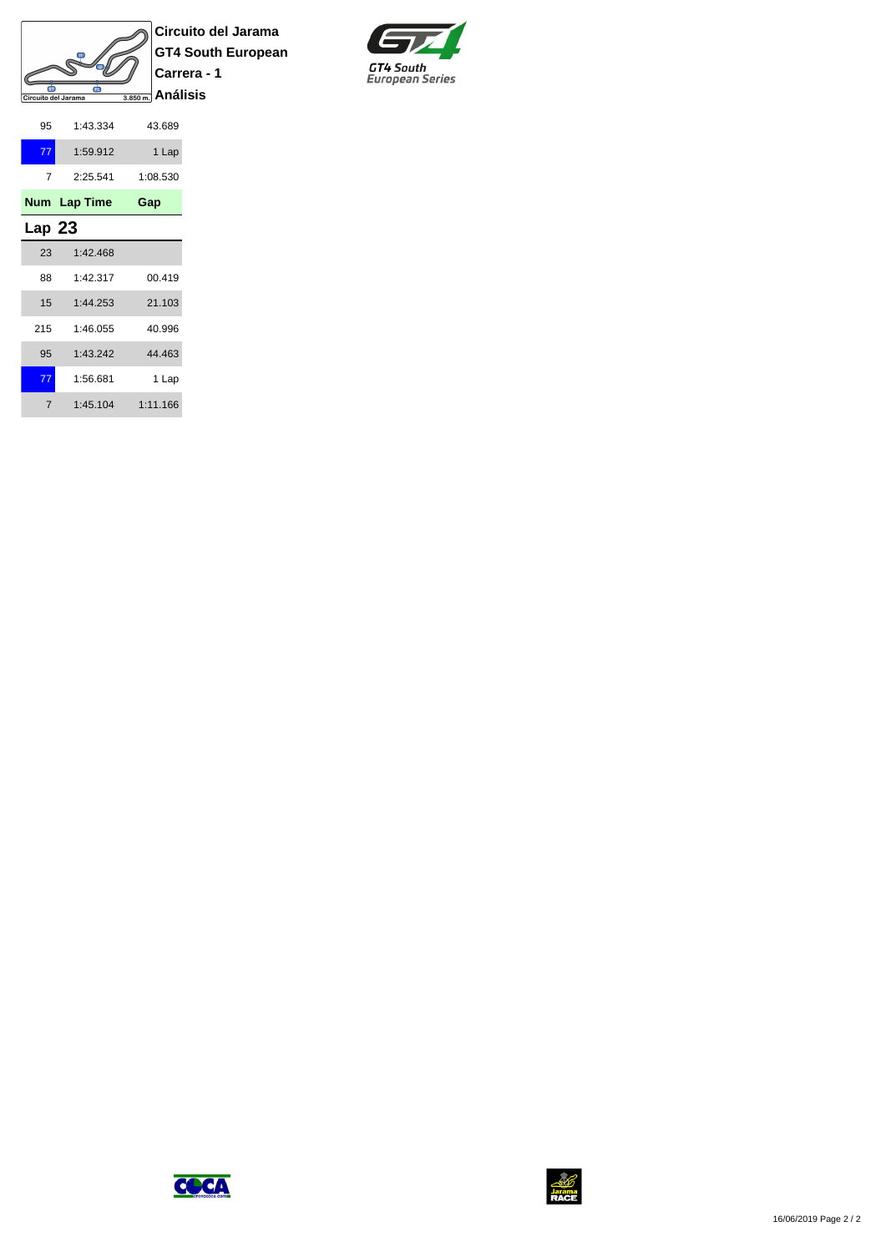

**Circuito del Jarama GT4 South European Carrera - 1**



| 95     | 1:43.334     | 43.689   |
|--------|--------------|----------|
| 77     | 1:59.912     | 1 Lap    |
| 7      | 2:25.541     | 1:08.530 |
|        | Num Lap Time | Gap      |
| Lap 23 |              |          |
| 23     | 1:42.468     |          |
| 88     | 1:42.317     | 00.419   |
| 15     | 1:44.253     | 21.103   |
| 215    | 1.46055      | 40.996   |
| 95     | 1:43.242     | 44.463   |
| 77     | 1:56.681     | 1 Lap    |
| 7      | 1:45.104     | 1:11.166 |



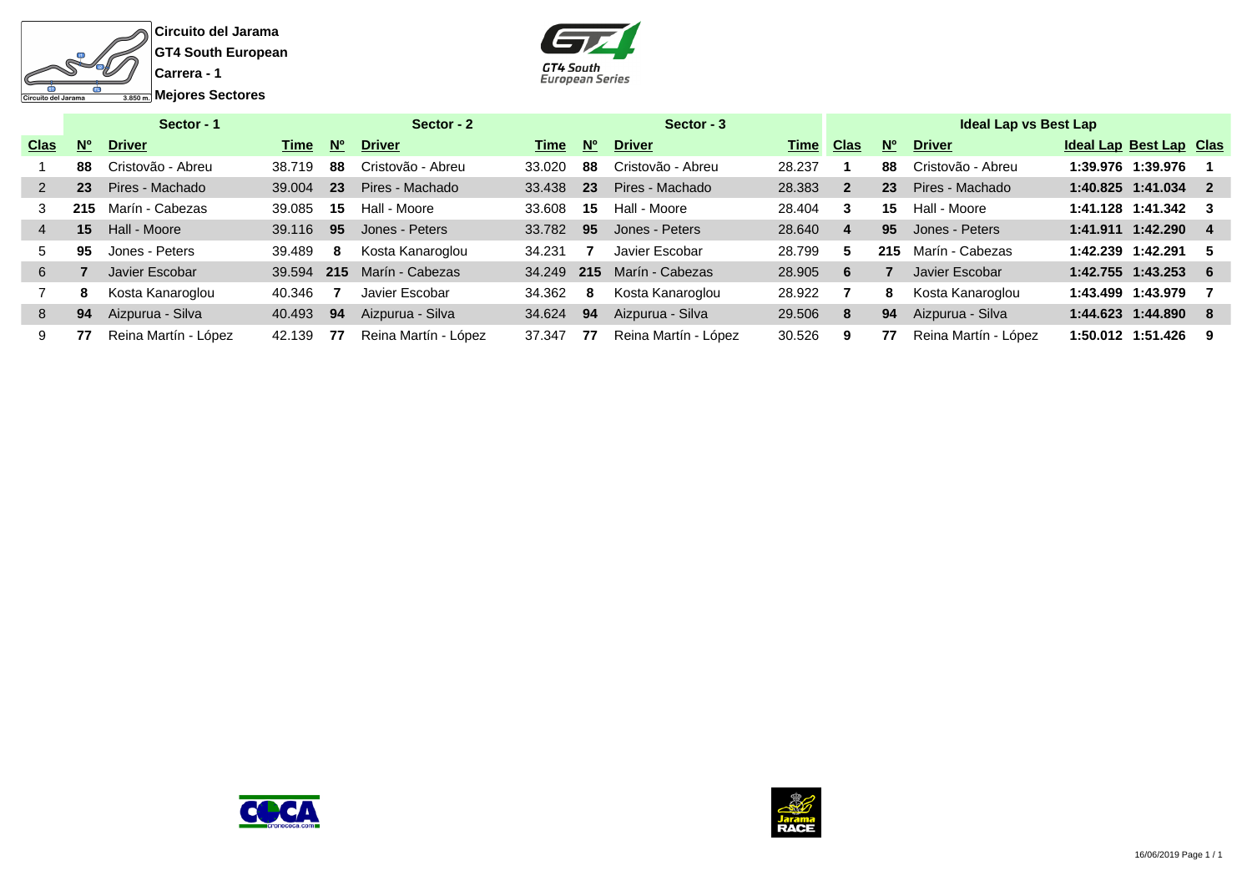



|             |           | Sector - 1           |        |             | Sector - 2           |        |             | Sector - 3           |        |                |             | <b>Ideal Lap vs Best Lap</b> |                                |     |
|-------------|-----------|----------------------|--------|-------------|----------------------|--------|-------------|----------------------|--------|----------------|-------------|------------------------------|--------------------------------|-----|
| <b>Clas</b> | <b>No</b> | <b>Driver</b>        | Time   | $N^{\circ}$ | <b>Driver</b>        | Time   | $N^{\circ}$ | <b>Driver</b>        | Time   | <b>Clas</b>    | $N^{\circ}$ | <b>Driver</b>                | <b>Ideal Lap Best Lap Clas</b> |     |
|             | 88        | Cristovão - Abreu    | 38.719 | 88          | Cristovão - Abreu    | 33.020 | 88          | Cristovão - Abreu    | 28.237 |                | 88          | Cristovão - Abreu            | 1:39.976 1:39.976              |     |
|             | 23        | Pires - Machado      | 39,004 | 23          | Pires - Machado      | 33.438 | 23          | Pires - Machado      | 28.383 | $\overline{2}$ | 23          | Pires - Machado              | 1:40.825 1:41.034 2            |     |
|             | 215       | Marín - Cabezas      | 39.085 | 15          | Hall - Moore         | 33.608 | 15          | Hall - Moore         | 28.404 | 3              | 15          | Hall - Moore                 | 1:41.128 1:41.342 3            |     |
|             | 15        | Hall - Moore         | 39.116 | 95          | Jones - Peters       | 33.782 | 95          | Jones - Peters       | 28.640 | 4              | 95          | Jones - Peters               | 1:41.911 1:42.290 4            |     |
| 5.          | 95        | Jones - Peters       | 39.489 | 8           | Kosta Kanaroglou     | 34.231 |             | Javier Escobar       | 28.799 | 5              | 215         | Marín - Cabezas              | 1:42.239 1:42.291              | - 5 |
| 6           |           | Javier Escobar       | 39.594 | 215         | Marín - Cabezas      | 34.249 | 215         | Marín - Cabezas      | 28.905 | 6              |             | Javier Escobar               | 1:42.755 1:43.253 6            |     |
|             | 8         | Kosta Kanaroglou     | 40.346 |             | Javier Escobar       | 34.362 | 8           | Kosta Kanaroglou     | 28.922 |                | 8           | Kosta Kanaroglou             |                                |     |
| 8           | 94        | Aizpurua - Silva     | 40.493 | 94          | Aizpurua - Silva     | 34.624 | 94          | Aizpurua - Silva     | 29,506 | 8              | 94          | Aizpurua - Silva             | 1:44.623 1:44.890 8            |     |
|             | 77        | Reina Martín - López | 42.139 | 77          | Reina Martín - López | 37.347 | 77          | Reina Martín - López | 30.526 | 9              | 77          | Reina Martín - López         | 1:50.012 1:51.426              | - 9 |



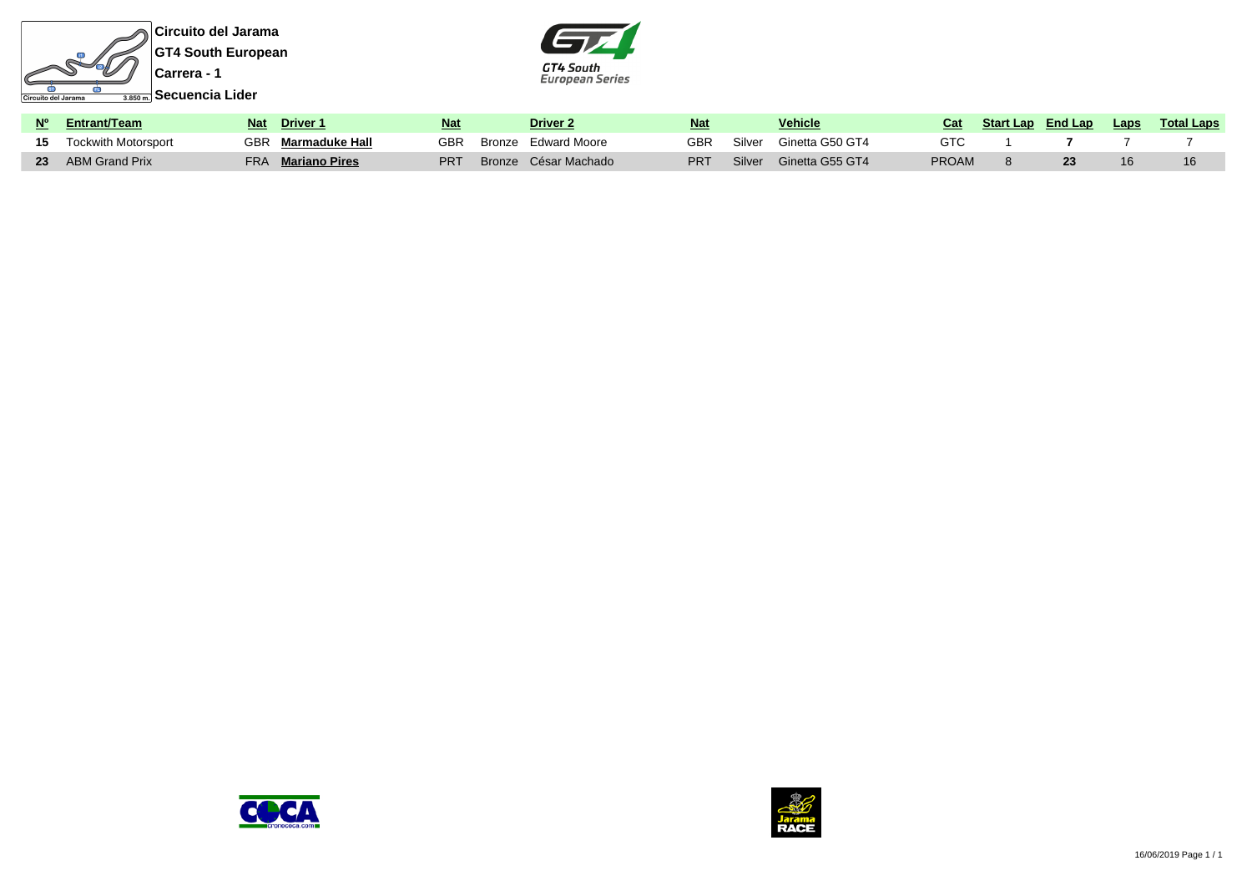



| Nº Entrant/Team               | <b>Nat</b> | Driver 1             | <u>Nat</u> | Driver <sub>2</sub>  | <b>Nat</b> |        | Vehicle         | Cat          | <b>Start Lap</b> End Lap | <b>Laps</b> | <b>Total Laps</b> |
|-------------------------------|------------|----------------------|------------|----------------------|------------|--------|-----------------|--------------|--------------------------|-------------|-------------------|
| <b>15</b> Tockwith Motorsport | GBR .      | Marmaduke Hall       | <b>GBR</b> | Bronze Edward Moore  | GBR        | Silver | Ginetta G50 GT4 | GTC          |                          |             |                   |
| 23 ABM Grand Prix             | FRA        | <b>Mariano Pires</b> | PRT        | Bronze César Machado | <b>PRT</b> | Silver | Ginetta G55 GT4 | <b>PROAM</b> |                          | 16          |                   |



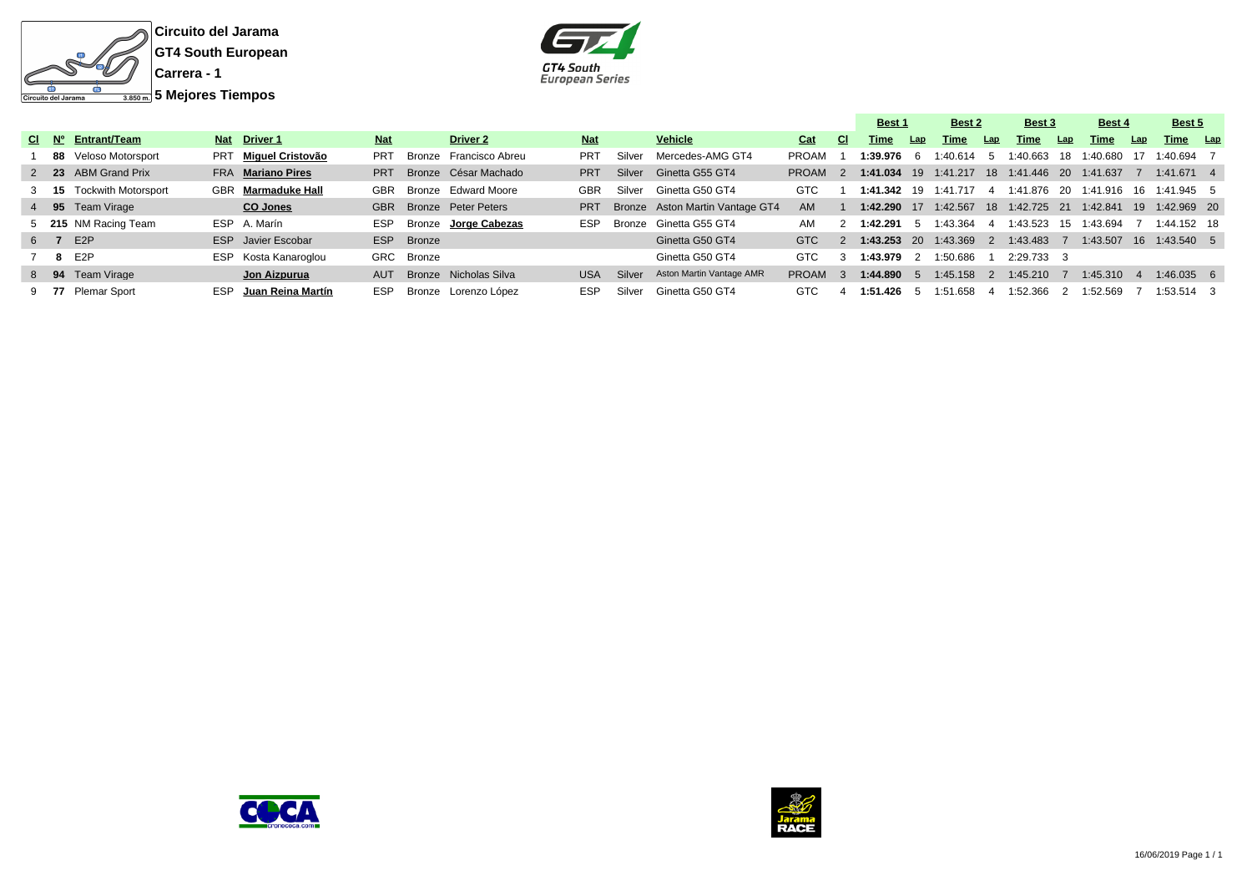



|  |  |                          |  |                           |            |            |                                |            |        |                                 |                    |               | Best 1              |     | Best 2                 |     | Best 3                  |     | Best 4                             |      | Best 5       |  |
|--|--|--------------------------|--|---------------------------|------------|------------|--------------------------------|------------|--------|---------------------------------|--------------------|---------------|---------------------|-----|------------------------|-----|-------------------------|-----|------------------------------------|------|--------------|--|
|  |  | CI Nº Entrant/Team       |  | Nat Driver 1              | <b>Nat</b> |            | Driver 2                       | <b>Nat</b> |        | <b>Vehicle</b>                  | Cat                | <b>CI</b>     | Time                | Lap | Time                   | Lap | Time                    | Lap | Time                               | Lap  | Time Lap     |  |
|  |  | 88 Veloso Motorsport     |  | PRT Miguel Cristovão      | <b>PRT</b> |            | Bronze Francisco Abreu         | <b>PRT</b> | Silver | Mercedes-AMG GT4                | PROAM              |               | 1:39.976 6          |     | 1:40.614 5             |     | 1:40.663 18             |     | 1:40.680                           | - 17 | 1:40.694 7   |  |
|  |  | 2 23 ABM Grand Prix      |  | FRA Mariano Pires         | <b>PRT</b> |            | Bronze César Machado           | <b>PRT</b> | Silver | Ginetta G55 GT4                 | PROAM <sub>2</sub> |               |                     |     | $1:41.034$ 19 1:41.217 |     | 18 1:41.446 20 1:41.637 |     |                                    |      | $1:41.671$ 4 |  |
|  |  | 3 15 Tockwith Motorsport |  | <b>GBR</b> Marmaduke Hall | GBR        |            | Bronze Edward Moore            | GBR        | Silver | Ginetta G50 GT4                 | GTC                |               |                     |     | 1:41.342 19 1:41.717   | 4   |                         |     | 1:41.876 20 1:41.916 16 1:41.945 5 |      |              |  |
|  |  | 4 95 Team Virage         |  | CO Jones                  |            |            | <b>GBR</b> Bronze Peter Peters | <b>PRT</b> |        | Bronze Aston Martin Vantage GT4 | AM                 |               |                     |     | 1:42.290 17 1:42.567   |     |                         |     |                                    |      |              |  |
|  |  | 5 215 NM Racing Team     |  | ESP A. Marín              | ESP        |            | Bronze Jorge Cabezas           | <b>ESP</b> |        | Bronze Ginetta G55 GT4          | AM                 |               | 1:42.291 5 1:43.364 |     |                        | -4  | 1:43.523 15             |     | 1:43.694                           |      | 1:44.152 18  |  |
|  |  | 6 7 E2P                  |  | <b>ESP</b> Javier Escobar |            | ESP Bronze |                                |            |        | Ginetta G50 GT4                 | GTC                | $\mathcal{P}$ |                     |     | 1:43.253 20 1:43.369   | - 2 | 1:43.483                |     | 1:43.507 16 1:43.540 5             |      |              |  |
|  |  | 7 8 E2P                  |  | ESP Kosta Kanaroglou      |            | GRC Bronze |                                |            |        | Ginetta G50 GT4                 | <b>GTC</b>         | 3             | 1:43.979 2          |     | 1:50.686               |     | 2:29.733 3              |     |                                    |      |              |  |
|  |  | 8 94 Team Virage         |  | Jon Aizpurua              | AUT        |            | Bronze Nicholas Silva          | <b>USA</b> | Silver | Aston Martin Vantage AMR        | <b>PROAM</b>       | -3.           | 1:44.890 5          |     | 1:45.158               |     | 1:45.210                |     | 1:45.310                           |      | $1:46.035$ 6 |  |
|  |  | 9 77 Plemar Sport        |  | ESP Juan Reina Martín     | ESP        |            | Bronze Lorenzo López           | <b>ESP</b> | Silver | Ginetta G50 GT4                 | GTC                |               | 1:51.426 5          |     | 1:51.658               |     | 1:52.366                |     | 1:52.569                           |      | $1:53.514$ 3 |  |



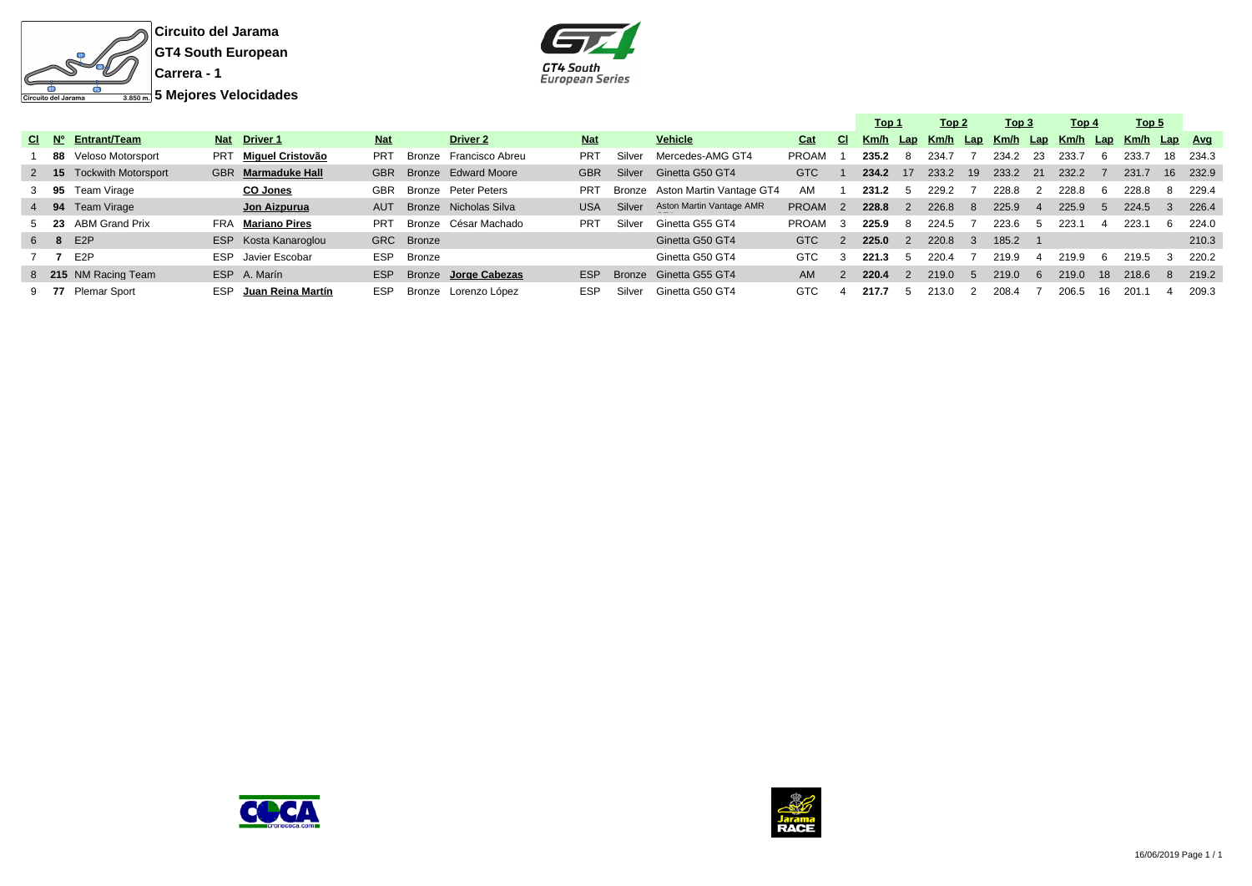



|     |                               |  |                          |            |            |                        |            |        |                                 |              |                | Top 1 |               | Top 2 |               | Тор 3                                 |          | Top 4 |    | Top 5        |     |       |
|-----|-------------------------------|--|--------------------------|------------|------------|------------------------|------------|--------|---------------------------------|--------------|----------------|-------|---------------|-------|---------------|---------------------------------------|----------|-------|----|--------------|-----|-------|
|     | $CI$ $N^{\circ}$ Entrant/Team |  | Nat Driver 1             | <b>Nat</b> |            | <b>Driver 2</b>        | <b>Nat</b> |        | Vehicle                         | Cat          | CI.            | Km/h  |               |       |               | <u>Lap Km/h Lap Km/h Lap Km/h Lap</u> |          |       |    | Km/h Lap Avg |     |       |
|     | 88 Veloso Motorsport          |  | PRT Miquel Cristovão     | <b>PRT</b> |            | Bronze Francisco Abreu | <b>PRT</b> | Silver | Mercedes-AMG GT4                | <b>PROAM</b> |                | 235.2 | 8             | 234.7 |               | 234.2                                 | -23      | 233.7 | b  | 233.7        | 18  | 234.3 |
|     | 2 15 Tockwith Motorsport      |  | GBR Marmaduke Hall       | <b>GBR</b> |            | Bronze Edward Moore    | <b>GBR</b> | Silver | Ginetta G50 GT4                 | <b>GTC</b>   |                | 234.2 | 17            | 233.2 | 19            | 233.2                                 | 21       | 232.2 |    | 231.7        | 16  | 232.9 |
|     | 3 95 Team Virage              |  | CO Jones                 | <b>GBR</b> |            | Bronze Peter Peters    | PRT        |        | Bronze Aston Martin Vantage GT4 | AM           |                | 231.2 |               | 229.2 |               | 228.8                                 |          | 228.8 | -6 | 228.8        |     | 229.4 |
|     | 4 94 Team Virage              |  | Jon Aizpurua             | AUT        |            | Bronze Nicholas Silva  | <b>USA</b> | Silver | Aston Martin Vantage AMR        | <b>PROAM</b> | $\overline{2}$ | 228.8 | $\mathcal{P}$ | 226.8 | -8            | 225.9                                 |          | 225.9 |    | 224.5        |     | 226.4 |
|     | 5 23 ABM Grand Prix           |  | <b>FRA</b> Mariano Pires | <b>PRT</b> |            | Bronze César Machado   | <b>PRT</b> | Silver | Ginetta G55 GT4                 | <b>PROAM</b> |                | 225.9 | 8             | 224.5 |               | 223.6                                 |          | 223.1 |    | 223.1        | . რ | 224.0 |
|     | 6 8 E2P                       |  | ESP Kosta Kanaroglou     |            | GRC Bronze |                        |            |        | Ginetta G50 GT4                 | GTC          | $\mathcal{P}$  | 225.0 | $\mathcal{P}$ | 220.8 | $\mathcal{A}$ | 185.2                                 |          |       |    |              |     | 210.3 |
| 7 7 | E2P                           |  | ESP Javier Escobar       | <b>ESP</b> | Bronze     |                        |            |        | Ginetta G50 GT4                 | <b>GTC</b>   |                | 221.3 |               | 220.4 |               | 219.9                                 |          | 219.9 | -6 | 219.5        |     | 220.2 |
|     | 8 215 NM Racing Team          |  | ESP A. Marín             | ESP        |            | Bronze Jorge Cabezas   | <b>ESP</b> |        | Bronze Ginetta G55 GT4          | AM.          |                | 220.4 | $\mathcal{P}$ | 219.0 | -5            | 219.0                                 | <b>6</b> | 219.0 | 18 | 218.6        |     | 219.2 |
|     | 9 77 Plemar Sport             |  | ESP Juan Reina Martín    | <b>ESP</b> |            | Bronze Lorenzo López   | <b>ESP</b> | Silver | Ginetta G50 GT4                 | GTC          |                | 217.7 |               | 213.0 |               | 208.4                                 |          | 206.5 | 16 | 201.1        |     | 209.3 |



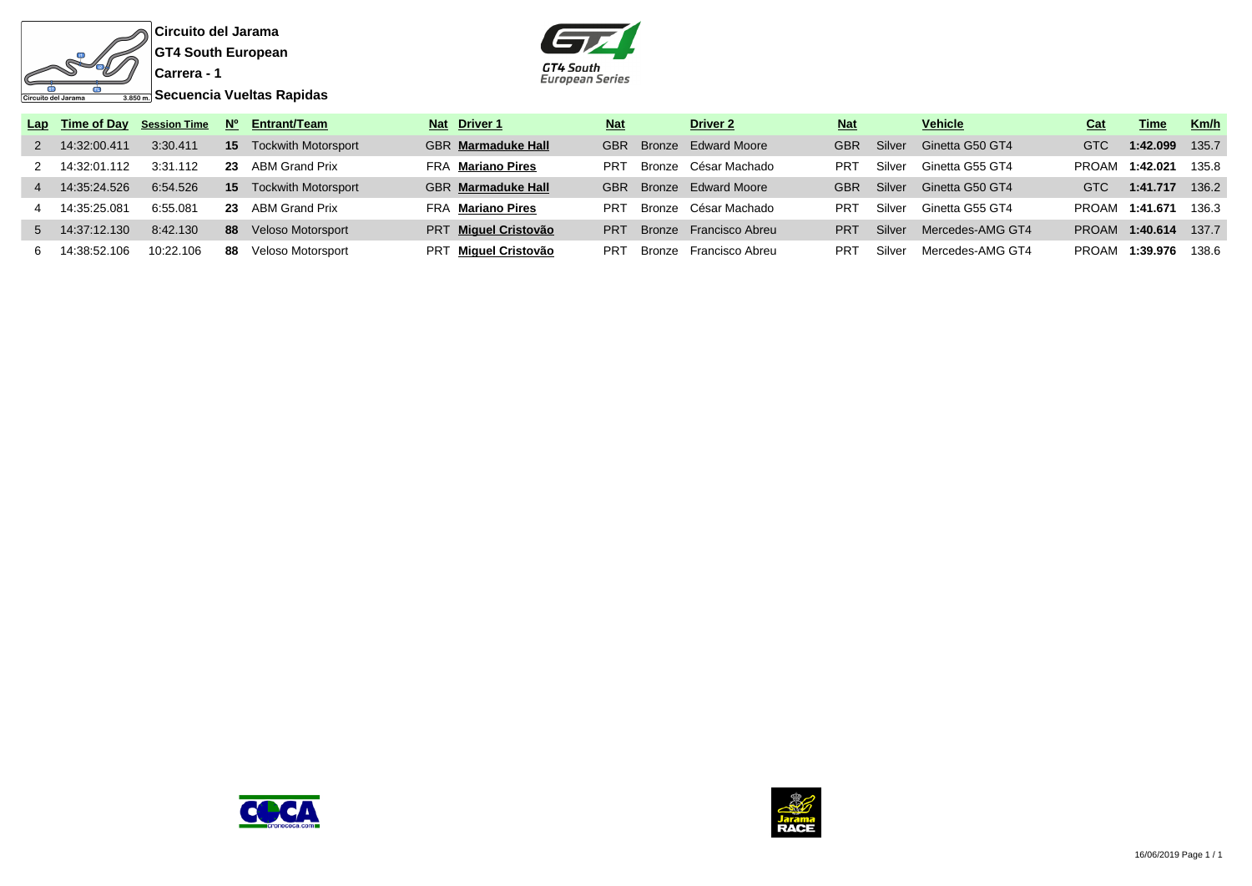



|                |                |           |    | Lap Time of Day Session Time $N^{\circ}$ Entrant/Team | Nat Driver 1              | <b>Nat</b>      | <b>Driver 2</b>        | <b>Nat</b> |        | <b>Vehicle</b>   | Cat          | Time     | Km/h  |
|----------------|----------------|-----------|----|-------------------------------------------------------|---------------------------|-----------------|------------------------|------------|--------|------------------|--------------|----------|-------|
|                | 2 14:32:00.411 | 3:30.411  | 15 | <b>Tockwith Motorsport</b>                            | <b>GBR</b> Marmaduke Hall | <b>GBR</b>      | Bronze Edward Moore    | <b>GBR</b> | Silver | Ginetta G50 GT4  | <b>GTC</b>   | 1:42.099 | 135.7 |
|                | 2 14:32:01.112 | 3:31.112  |    | 23 ABM Grand Prix                                     | <b>FRA Mariano Pires</b>  | PR <sub>1</sub> | Bronze César Machado   | <b>PRT</b> | Silver | Ginetta G55 GT4  | <b>PROAM</b> | 1:42.021 | 135.8 |
| $\overline{4}$ | 14:35:24.526   | 6:54.526  | 15 | <b>Tockwith Motorsport</b>                            | <b>GBR</b> Marmaduke Hall | <b>GBR</b>      | Bronze Edward Moore    | <b>GBR</b> | Silver | Ginetta G50 GT4  | <b>GTC</b>   | 1:41.717 | 136.2 |
|                | 14:35:25.081   | 6:55.081  |    | 23 ABM Grand Prix                                     | <b>FRA Mariano Pires</b>  | PR <sub>1</sub> | Bronze César Machado   | <b>PRT</b> | Silver | Ginetta G55 GT4  | PROAM        | 1:41.671 | 136.3 |
|                | 5 14:37:12.130 | 8:42.130  | 88 | Veloso Motorsport                                     | PRT Miquel Cristovão      | <b>PRT</b>      | Bronze Francisco Abreu | <b>PRT</b> | Silver | Mercedes-AMG GT4 | <b>PROAM</b> | 1:40.614 | 137.7 |
| 6.             | 14:38:52.106   | 10:22.106 | 88 | Veloso Motorsport                                     | PRT Miquel Cristovão      | PR <sub>1</sub> | Bronze Francisco Abreu | PRT        | Silver | Mercedes-AMG GT4 | <b>PROAM</b> | 1:39.976 | 138.6 |



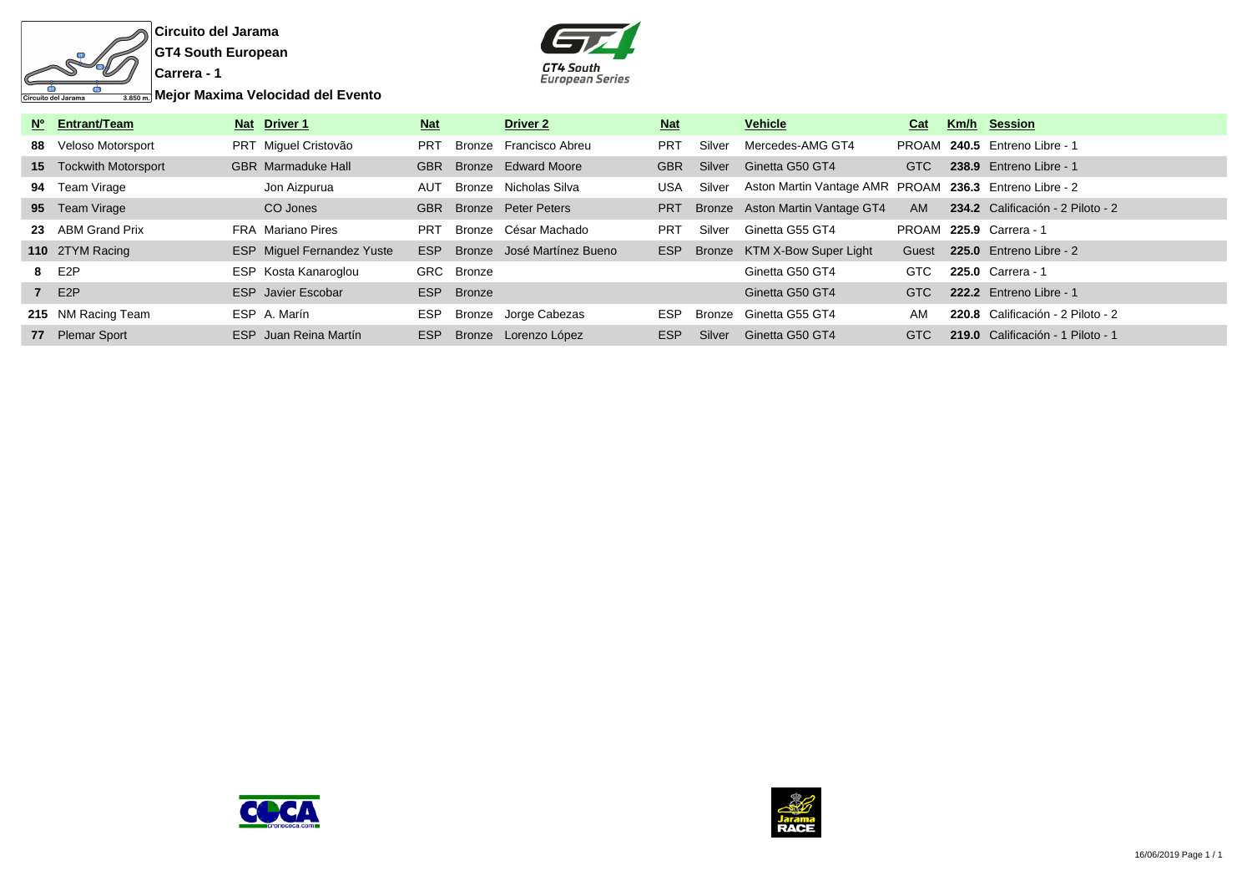



**Mejor Maxima Velocidad del Evento**

| Nº Entrant/Team               | Nat Driver 1                      | <b>Nat</b> |               | Driver 2                   | <b>Nat</b> |        | <b>Vehicle</b>                                         | Cat        | Km/h Session                      |
|-------------------------------|-----------------------------------|------------|---------------|----------------------------|------------|--------|--------------------------------------------------------|------------|-----------------------------------|
| 88 Veloso Motorsport          | PRT Miguel Cristovão              | <b>PRT</b> |               | Bronze Francisco Abreu     | <b>PRT</b> | Silver | Mercedes-AMG GT4                                       |            | PROAM 240.5 Entreno Libre - 1     |
| <b>15</b> Tockwith Motorsport | <b>GBR</b> Marmaduke Hall         | <b>GBR</b> |               | Bronze Edward Moore        | <b>GBR</b> | Silver | Ginetta G50 GT4                                        | <b>GTC</b> | 238.9 Entreno Libre - 1           |
| 94 Team Virage                | Jon Aizpurua                      | AUT        |               | Bronze Nicholas Silva      | <b>USA</b> | Silver | Aston Martin Vantage AMR PROAM 236.3 Entreno Libre - 2 |            |                                   |
| 95 Team Virage                | CO Jones                          | <b>GBR</b> |               | Bronze Peter Peters        | <b>PRT</b> |        | Bronze Aston Martin Vantage GT4                        | <b>AM</b>  | 234.2 Calificación - 2 Piloto - 2 |
| 23 ABM Grand Prix             | FRA Mariano Pires                 | <b>PRT</b> |               | Bronze César Machado       | <b>PRT</b> | Silver | Ginetta G55 GT4                                        |            | PROAM 225.9 Carrera - 1           |
| 110 2TYM Racing               | <b>ESP</b> Miguel Fernandez Yuste | ESP        |               | Bronze José Martínez Bueno | <b>ESP</b> |        | Bronze KTM X-Bow Super Light                           | Guest      | 225.0 Entreno Libre - 2           |
| 8 E2P                         | ESP Kosta Kanaroglou              |            | GRC Bronze    |                            |            |        | Ginetta G50 GT4                                        | <b>GTC</b> | 225.0 Carrera - 1                 |
| 7 E2P                         | <b>ESP</b> Javier Escobar         | <b>ESP</b> | <b>Bronze</b> |                            |            |        | Ginetta G50 GT4                                        | <b>GTC</b> | 222.2 Entreno Libre - 1           |
| 215 NM Racing Team            | ESP A. Marín                      | ESP        |               | Bronze Jorge Cabezas       | <b>ESP</b> | Bronze | Ginetta G55 GT4                                        | AM         | 220.8 Calificación - 2 Piloto - 2 |
| 77 Plemar Sport               | ESP Juan Reina Martín             | <b>ESP</b> |               | Bronze Lorenzo López       | ESP        | Silver | Ginetta G50 GT4                                        | <b>GTC</b> | 219.0 Calificación - 1 Piloto - 1 |



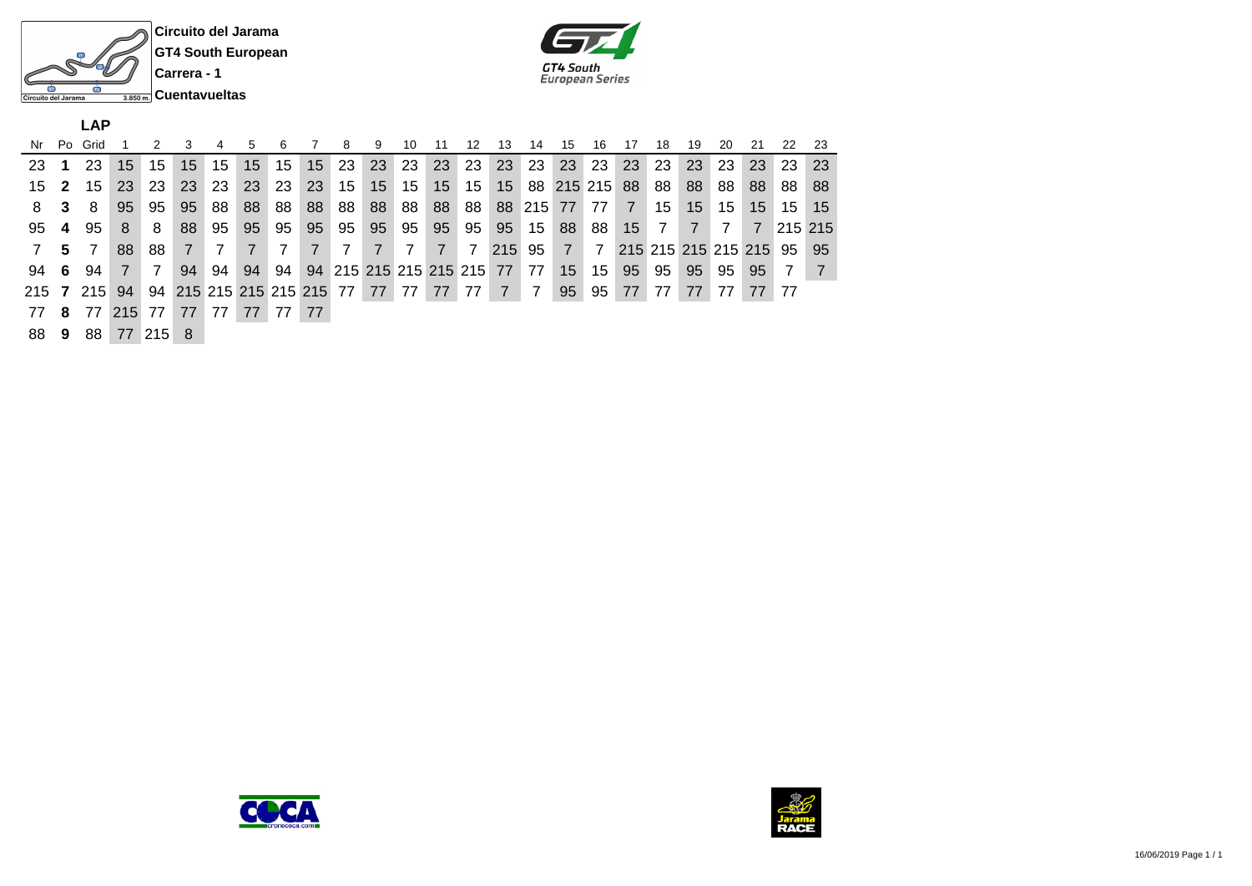



**LAP**

|              |    | Nr Po Grid |              | 2              | 3   | 4  | 5  | 6                                  |    | -8  | -9                           | 10 | -11  | 12   | 13              | 14              | 15              | 16            | 17 | 18 | 19 | 20 | 21                     | 22             | -23 |
|--------------|----|------------|--------------|----------------|-----|----|----|------------------------------------|----|-----|------------------------------|----|------|------|-----------------|-----------------|-----------------|---------------|----|----|----|----|------------------------|----------------|-----|
| 23           |    | 23         | 15           | 15             | 15  | 15 | 15 | 15                                 | 15 | -23 | 23                           | 23 | 23   | 23   | 23              | -23             | 23              | -23           | 23 | 23 | 23 | 23 | 23                     | 23             | 23  |
| $15 \quad 2$ |    | 15         | 23           | 23             | 23  | 23 | 23 | 23                                 | 23 | 15  | 15 <sup>1</sup>              | 15 | 15   | 15   | 15 <sup>1</sup> |                 |                 | 88 215 215 88 |    | 88 | 88 | 88 | 88                     | 88             | 88  |
| 8            | -3 | 8          | 95           | 95             | 95  | 88 | 88 | 88                                 | 88 | 88  | 88                           | 88 | 88   | 88   | 88              | 215 77          |                 | 77            | 7  | 15 | 15 | 15 | 15                     | 15             | 15  |
| 95 4         |    | 95         | 8            | 8              | 88  | 95 | 95 | 95                                 | 95 | 95  | 95                           | 95 | 95   | 95   | 95              | 15 <sub>h</sub> | 88              | 88            | 15 | 7  |    |    | 7                      | 215 215        |     |
|              | 5. |            | 88           | 88.            | 7   |    |    |                                    |    |     |                              | 7  | $-7$ | 7    | 215             | 95              | $\overline{7}$  | 7             |    |    |    |    | 215 215 215 215 215 95 |                | 95  |
| $94 \quad 6$ |    | 94         | <sup>7</sup> | $\overline{7}$ | 94  | 94 | 94 | 94                                 |    |     | 94 215 215 215 215 215 77 77 |    |      |      |                 |                 | 15 <sup>1</sup> | 15            | 95 | 95 | 95 | 95 | 95                     | $\overline{7}$ |     |
|              |    | 215 7 215  | 94           |                |     |    |    | 94 215 215 215 215 215 77 77 77 77 |    |     |                              |    |      | 77 7 |                 | -7              | 95              | 95            | 77 | 77 | 77 | 77 | 77 77                  |                |     |
| 77           | -8 | 77         | 215 77       |                | 77  | 77 | 77 | 77 77                              |    |     |                              |    |      |      |                 |                 |                 |               |    |    |    |    |                        |                |     |
| 88 9         |    | 88         |              | 77 215         | - 8 |    |    |                                    |    |     |                              |    |      |      |                 |                 |                 |               |    |    |    |    |                        |                |     |